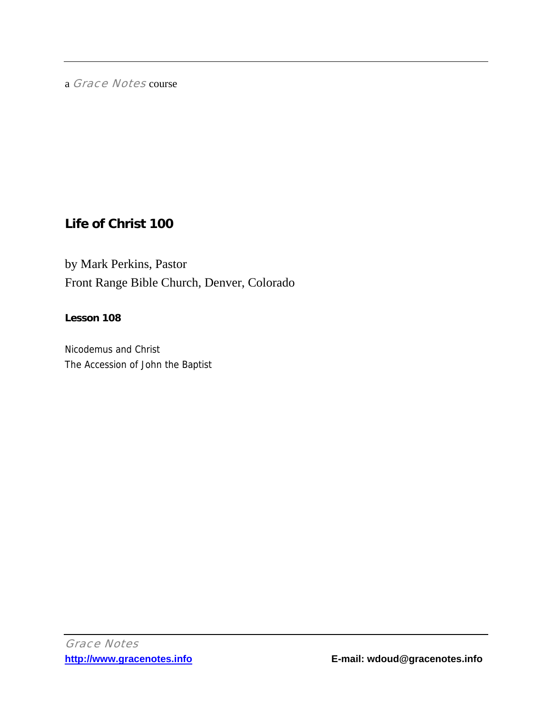a Grace Notes course

# **Life of Christ 100**

by Mark Perkins, Pastor Front Range Bible Church, Denver, Colorado

### **Lesson 108**

Nicodemus and Christ The Accession of John the Baptist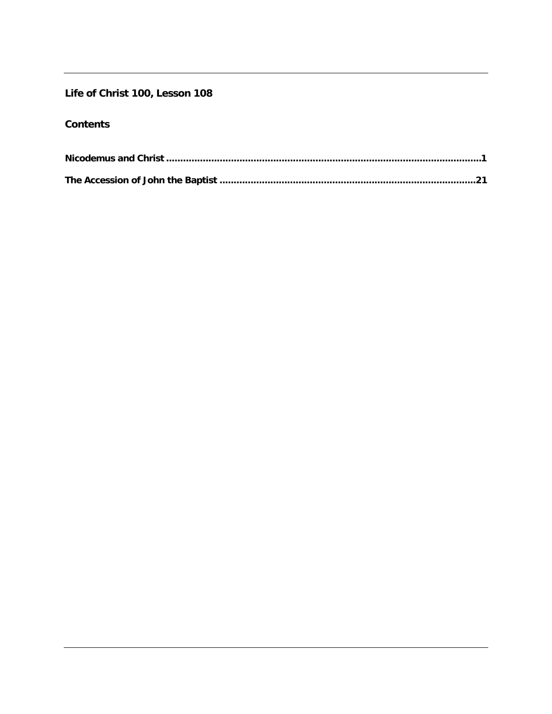## Life of Christ 100, Lesson 108

# **Contents**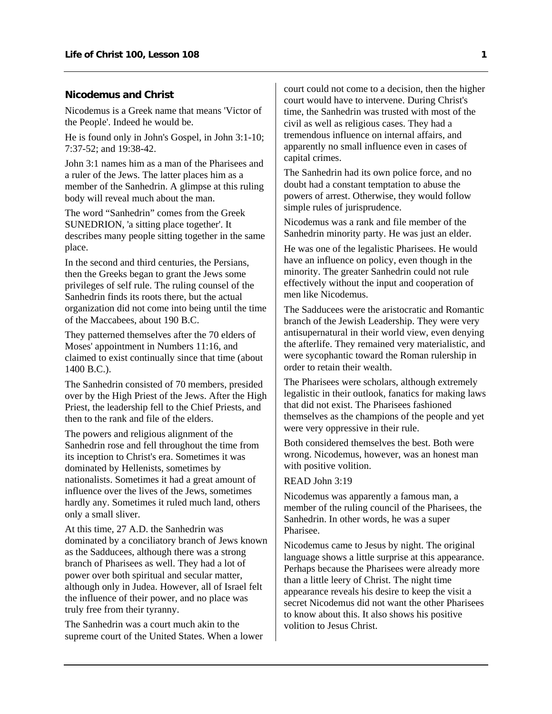#### <span id="page-2-0"></span>**Nicodemus and Christ**

Nicodemus is a Greek name that means 'Victor of the People'. Indeed he would be.

He is found only in John's Gospel, in John 3:1-10; 7:37-52; and 19:38-42.

John 3:1 names him as a man of the Pharisees and a ruler of the Jews. The latter places him as a member of the Sanhedrin. A glimpse at this ruling body will reveal much about the man.

The word "Sanhedrin" comes from the Greek SUNEDRION, 'a sitting place together'. It describes many people sitting together in the same place.

In the second and third centuries, the Persians, then the Greeks began to grant the Jews some privileges of self rule. The ruling counsel of the Sanhedrin finds its roots there, but the actual organization did not come into being until the time of the Maccabees, about 190 B.C.

They patterned themselves after the 70 elders of Moses' appointment in Numbers 11:16, and claimed to exist continually since that time (about 1400 B.C.).

The Sanhedrin consisted of 70 members, presided over by the High Priest of the Jews. After the High Priest, the leadership fell to the Chief Priests, and then to the rank and file of the elders.

The powers and religious alignment of the Sanhedrin rose and fell throughout the time from its inception to Christ's era. Sometimes it was dominated by Hellenists, sometimes by nationalists. Sometimes it had a great amount of influence over the lives of the Jews, sometimes hardly any. Sometimes it ruled much land, others only a small sliver.

At this time, 27 A.D. the Sanhedrin was dominated by a conciliatory branch of Jews known as the Sadducees, although there was a strong branch of Pharisees as well. They had a lot of power over both spiritual and secular matter, although only in Judea. However, all of Israel felt the influence of their power, and no place was truly free from their tyranny.

The Sanhedrin was a court much akin to the supreme court of the United States. When a lower court could not come to a decision, then the higher court would have to intervene. During Christ's time, the Sanhedrin was trusted with most of the civil as well as religious cases. They had a tremendous influence on internal affairs, and apparently no small influence even in cases of capital crimes.

The Sanhedrin had its own police force, and no doubt had a constant temptation to abuse the powers of arrest. Otherwise, they would follow simple rules of jurisprudence.

Nicodemus was a rank and file member of the Sanhedrin minority party. He was just an elder.

He was one of the legalistic Pharisees. He would have an influence on policy, even though in the minority. The greater Sanhedrin could not rule effectively without the input and cooperation of men like Nicodemus.

The Sadducees were the aristocratic and Romantic branch of the Jewish Leadership. They were very antisupernatural in their world view, even denying the afterlife. They remained very materialistic, and were sycophantic toward the Roman rulership in order to retain their wealth.

The Pharisees were scholars, although extremely legalistic in their outlook, fanatics for making laws that did not exist. The Pharisees fashioned themselves as the champions of the people and yet were very oppressive in their rule.

Both considered themselves the best. Both were wrong. Nicodemus, however, was an honest man with positive volition.

### READ John 3:19

Nicodemus was apparently a famous man, a member of the ruling council of the Pharisees, the Sanhedrin. In other words, he was a super Pharisee.

Nicodemus came to Jesus by night. The original language shows a little surprise at this appearance. Perhaps because the Pharisees were already more than a little leery of Christ. The night time appearance reveals his desire to keep the visit a secret Nicodemus did not want the other Pharisees to know about this. It also shows his positive volition to Jesus Christ.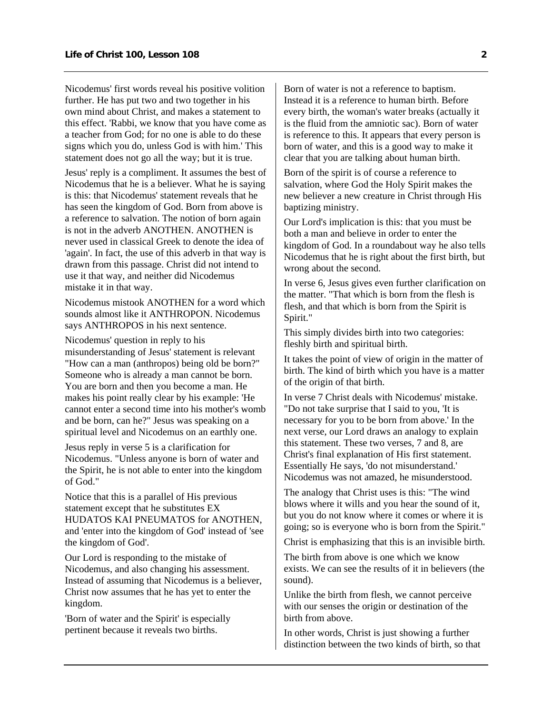Nicodemus' first words reveal his positive volition further. He has put two and two together in his own mind about Christ, and makes a statement to this effect. 'Rabbi, we know that you have come as a teacher from God; for no one is able to do these signs which you do, unless God is with him.' This statement does not go all the way; but it is true.

Jesus' reply is a compliment. It assumes the best of Nicodemus that he is a believer. What he is saying is this: that Nicodemus' statement reveals that he has seen the kingdom of God. Born from above is a reference to salvation. The notion of born again is not in the adverb ANOTHEN. ANOTHEN is never used in classical Greek to denote the idea of 'again'. In fact, the use of this adverb in that way is drawn from this passage. Christ did not intend to use it that way, and neither did Nicodemus mistake it in that way.

Nicodemus mistook ANOTHEN for a word which sounds almost like it ANTHROPON. Nicodemus says ANTHROPOS in his next sentence.

Nicodemus' question in reply to his misunderstanding of Jesus' statement is relevant "How can a man (anthropos) being old be born?" Someone who is already a man cannot be born. You are born and then you become a man. He makes his point really clear by his example: 'He cannot enter a second time into his mother's womb and be born, can he?" Jesus was speaking on a spiritual level and Nicodemus on an earthly one.

Jesus reply in verse 5 is a clarification for Nicodemus. "Unless anyone is born of water and the Spirit, he is not able to enter into the kingdom of God."

Notice that this is a parallel of His previous statement except that he substitutes EX HUDATOS KAI PNEUMATOS for ANOTHEN, and 'enter into the kingdom of God' instead of 'see the kingdom of God'.

Our Lord is responding to the mistake of Nicodemus, and also changing his assessment. Instead of assuming that Nicodemus is a believer, Christ now assumes that he has yet to enter the kingdom.

'Born of water and the Spirit' is especially pertinent because it reveals two births.

Born of water is not a reference to baptism. Instead it is a reference to human birth. Before every birth, the woman's water breaks (actually it is the fluid from the amniotic sac). Born of water is reference to this. It appears that every person is born of water, and this is a good way to make it clear that you are talking about human birth.

Born of the spirit is of course a reference to salvation, where God the Holy Spirit makes the new believer a new creature in Christ through His baptizing ministry.

Our Lord's implication is this: that you must be both a man and believe in order to enter the kingdom of God. In a roundabout way he also tells Nicodemus that he is right about the first birth, but wrong about the second.

In verse 6, Jesus gives even further clarification on the matter. "That which is born from the flesh is flesh, and that which is born from the Spirit is Spirit."

This simply divides birth into two categories: fleshly birth and spiritual birth.

It takes the point of view of origin in the matter of birth. The kind of birth which you have is a matter of the origin of that birth.

In verse 7 Christ deals with Nicodemus' mistake. "Do not take surprise that I said to you, 'It is necessary for you to be born from above.' In the next verse, our Lord draws an analogy to explain this statement. These two verses, 7 and 8, are Christ's final explanation of His first statement. Essentially He says, 'do not misunderstand.' Nicodemus was not amazed, he misunderstood.

The analogy that Christ uses is this: "The wind blows where it wills and you hear the sound of it, but you do not know where it comes or where it is going; so is everyone who is born from the Spirit."

Christ is emphasizing that this is an invisible birth.

The birth from above is one which we know exists. We can see the results of it in believers (the sound).

Unlike the birth from flesh, we cannot perceive with our senses the origin or destination of the birth from above.

In other words, Christ is just showing a further distinction between the two kinds of birth, so that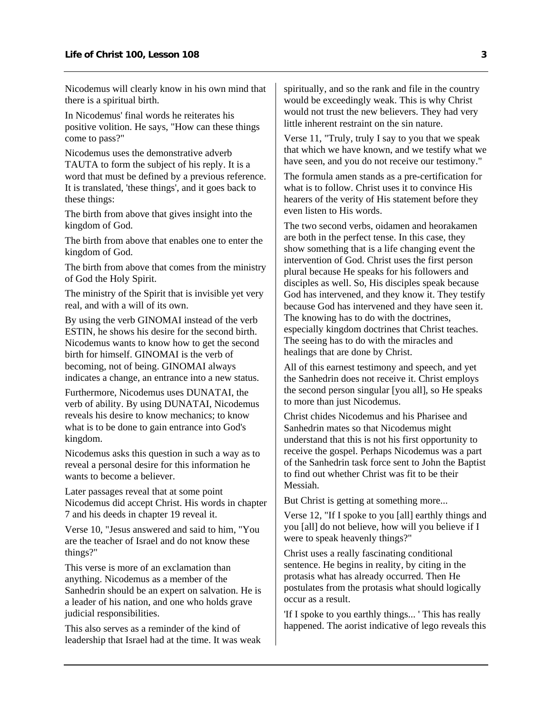Nicodemus will clearly know in his own mind that there is a spiritual birth.

In Nicodemus' final words he reiterates his positive volition. He says, "How can these things come to pass?"

Nicodemus uses the demonstrative adverb TAUTA to form the subject of his reply. It is a word that must be defined by a previous reference. It is translated, 'these things', and it goes back to these things:

The birth from above that gives insight into the kingdom of God.

The birth from above that enables one to enter the kingdom of God.

The birth from above that comes from the ministry of God the Holy Spirit.

The ministry of the Spirit that is invisible yet very real, and with a will of its own.

By using the verb GINOMAI instead of the verb ESTIN, he shows his desire for the second birth. Nicodemus wants to know how to get the second birth for himself. GINOMAI is the verb of becoming, not of being. GINOMAI always indicates a change, an entrance into a new status.

Furthermore, Nicodemus uses DUNATAI, the verb of ability. By using DUNATAI, Nicodemus reveals his desire to know mechanics; to know what is to be done to gain entrance into God's kingdom.

Nicodemus asks this question in such a way as to reveal a personal desire for this information he wants to become a believer.

Later passages reveal that at some point Nicodemus did accept Christ. His words in chapter 7 and his deeds in chapter 19 reveal it.

Verse 10, "Jesus answered and said to him, "You are the teacher of Israel and do not know these things?"

This verse is more of an exclamation than anything. Nicodemus as a member of the Sanhedrin should be an expert on salvation. He is a leader of his nation, and one who holds grave judicial responsibilities.

This also serves as a reminder of the kind of leadership that Israel had at the time. It was weak spiritually, and so the rank and file in the country would be exceedingly weak. This is why Christ would not trust the new believers. They had very little inherent restraint on the sin nature.

Verse 11, "Truly, truly I say to you that we speak that which we have known, and we testify what we have seen, and you do not receive our testimony."

The formula amen stands as a pre-certification for what is to follow. Christ uses it to convince His hearers of the verity of His statement before they even listen to His words.

The two second verbs, oidamen and heorakamen are both in the perfect tense. In this case, they show something that is a life changing event the intervention of God. Christ uses the first person plural because He speaks for his followers and disciples as well. So, His disciples speak because God has intervened, and they know it. They testify because God has intervened and they have seen it. The knowing has to do with the doctrines, especially kingdom doctrines that Christ teaches. The seeing has to do with the miracles and healings that are done by Christ.

All of this earnest testimony and speech, and yet the Sanhedrin does not receive it. Christ employs the second person singular [you all], so He speaks to more than just Nicodemus.

Christ chides Nicodemus and his Pharisee and Sanhedrin mates so that Nicodemus might understand that this is not his first opportunity to receive the gospel. Perhaps Nicodemus was a part of the Sanhedrin task force sent to John the Baptist to find out whether Christ was fit to be their Messiah.

But Christ is getting at something more...

Verse 12, "If I spoke to you [all] earthly things and you [all] do not believe, how will you believe if I were to speak heavenly things?"

Christ uses a really fascinating conditional sentence. He begins in reality, by citing in the protasis what has already occurred. Then He postulates from the protasis what should logically occur as a result.

'If I spoke to you earthly things... ' This has really happened. The aorist indicative of lego reveals this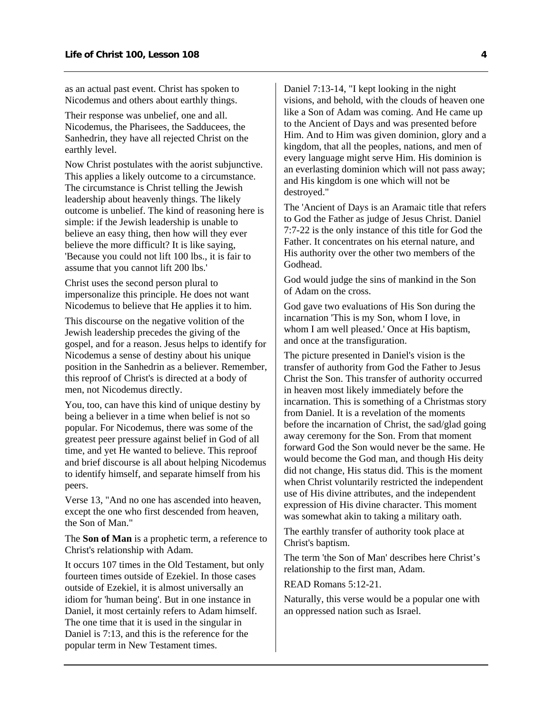as an actual past event. Christ has spoken to Nicodemus and others about earthly things.

Their response was unbelief, one and all. Nicodemus, the Pharisees, the Sadducees, the Sanhedrin, they have all rejected Christ on the earthly level.

Now Christ postulates with the aorist subjunctive. This applies a likely outcome to a circumstance. The circumstance is Christ telling the Jewish leadership about heavenly things. The likely outcome is unbelief. The kind of reasoning here is simple: if the Jewish leadership is unable to believe an easy thing, then how will they ever believe the more difficult? It is like saying, 'Because you could not lift 100 lbs., it is fair to assume that you cannot lift 200 lbs.'

Christ uses the second person plural to impersonalize this principle. He does not want Nicodemus to believe that He applies it to him.

This discourse on the negative volition of the Jewish leadership precedes the giving of the gospel, and for a reason. Jesus helps to identify for Nicodemus a sense of destiny about his unique position in the Sanhedrin as a believer. Remember, this reproof of Christ's is directed at a body of men, not Nicodemus directly.

You, too, can have this kind of unique destiny by being a believer in a time when belief is not so popular. For Nicodemus, there was some of the greatest peer pressure against belief in God of all time, and yet He wanted to believe. This reproof and brief discourse is all about helping Nicodemus to identify himself, and separate himself from his peers.

Verse 13, "And no one has ascended into heaven, except the one who first descended from heaven, the Son of Man."

The **Son of Man** is a prophetic term, a reference to Christ's relationship with Adam.

It occurs 107 times in the Old Testament, but only fourteen times outside of Ezekiel. In those cases outside of Ezekiel, it is almost universally an idiom for 'human being'. But in one instance in Daniel, it most certainly refers to Adam himself. The one time that it is used in the singular in Daniel is 7:13, and this is the reference for the popular term in New Testament times.

Daniel 7:13-14, "I kept looking in the night visions, and behold, with the clouds of heaven one like a Son of Adam was coming. And He came up to the Ancient of Days and was presented before Him. And to Him was given dominion, glory and a kingdom, that all the peoples, nations, and men of every language might serve Him. His dominion is an everlasting dominion which will not pass away; and His kingdom is one which will not be destroyed."

The 'Ancient of Days is an Aramaic title that refers to God the Father as judge of Jesus Christ. Daniel 7:7-22 is the only instance of this title for God the Father. It concentrates on his eternal nature, and His authority over the other two members of the Godhead.

God would judge the sins of mankind in the Son of Adam on the cross.

God gave two evaluations of His Son during the incarnation 'This is my Son, whom I love, in whom I am well pleased.' Once at His baptism, and once at the transfiguration.

The picture presented in Daniel's vision is the transfer of authority from God the Father to Jesus Christ the Son. This transfer of authority occurred in heaven most likely immediately before the incarnation. This is something of a Christmas story from Daniel. It is a revelation of the moments before the incarnation of Christ, the sad/glad going away ceremony for the Son. From that moment forward God the Son would never be the same. He would become the God man, and though His deity did not change, His status did. This is the moment when Christ voluntarily restricted the independent use of His divine attributes, and the independent expression of His divine character. This moment was somewhat akin to taking a military oath.

The earthly transfer of authority took place at Christ's baptism.

The term 'the Son of Man' describes here Christ's relationship to the first man, Adam.

READ Romans 5:12-21.

Naturally, this verse would be a popular one with an oppressed nation such as Israel.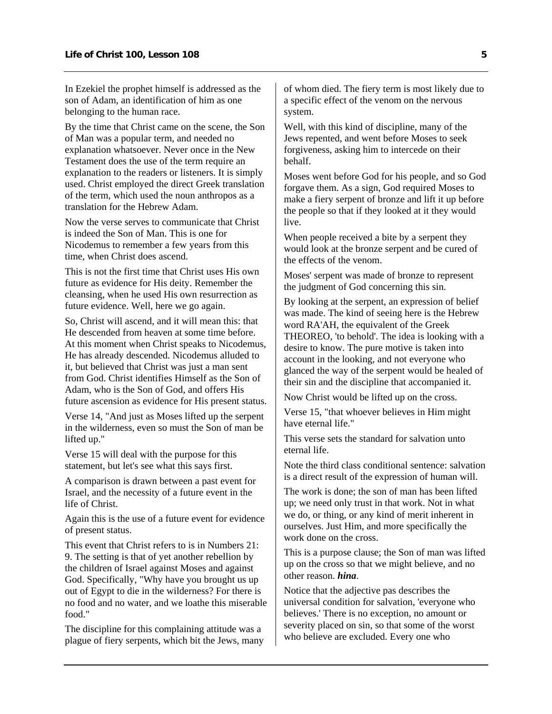In Ezekiel the prophet himself is addressed as the son of Adam, an identification of him as one belonging to the human race.

By the time that Christ came on the scene, the Son of Man was a popular term, and needed no explanation whatsoever. Never once in the New Testament does the use of the term require an explanation to the readers or listeners. It is simply used. Christ employed the direct Greek translation of the term, which used the noun anthropos as a translation for the Hebrew Adam.

Now the verse serves to communicate that Christ is indeed the Son of Man. This is one for Nicodemus to remember a few years from this time, when Christ does ascend.

This is not the first time that Christ uses His own future as evidence for His deity. Remember the cleansing, when he used His own resurrection as future evidence. Well, here we go again.

So, Christ will ascend, and it will mean this: that He descended from heaven at some time before. At this moment when Christ speaks to Nicodemus, He has already descended. Nicodemus alluded to it, but believed that Christ was just a man sent from God. Christ identifies Himself as the Son of Adam, who is the Son of God, and offers His future ascension as evidence for His present status.

Verse 14, "And just as Moses lifted up the serpent in the wilderness, even so must the Son of man be lifted up."

Verse 15 will deal with the purpose for this statement, but let's see what this says first.

A comparison is drawn between a past event for Israel, and the necessity of a future event in the life of Christ.

Again this is the use of a future event for evidence of present status.

This event that Christ refers to is in Numbers 21: 9. The setting is that of yet another rebellion by the children of Israel against Moses and against God. Specifically, "Why have you brought us up out of Egypt to die in the wilderness? For there is no food and no water, and we loathe this miserable food."

The discipline for this complaining attitude was a plague of fiery serpents, which bit the Jews, many of whom died. The fiery term is most likely due to a specific effect of the venom on the nervous system.

Well, with this kind of discipline, many of the Jews repented, and went before Moses to seek forgiveness, asking him to intercede on their behalf.

Moses went before God for his people, and so God forgave them. As a sign, God required Moses to make a fiery serpent of bronze and lift it up before the people so that if they looked at it they would live.

When people received a bite by a serpent they would look at the bronze serpent and be cured of the effects of the venom.

Moses' serpent was made of bronze to represent the judgment of God concerning this sin.

By looking at the serpent, an expression of belief was made. The kind of seeing here is the Hebrew word RA'AH, the equivalent of the Greek THEOREO, 'to behold'. The idea is looking with a desire to know. The pure motive is taken into account in the looking, and not everyone who glanced the way of the serpent would be healed of their sin and the discipline that accompanied it.

Now Christ would be lifted up on the cross.

Verse 15, "that whoever believes in Him might have eternal life."

This verse sets the standard for salvation unto eternal life.

Note the third class conditional sentence: salvation is a direct result of the expression of human will.

The work is done; the son of man has been lifted up; we need only trust in that work. Not in what we do, or thing, or any kind of merit inherent in ourselves. Just Him, and more specifically the work done on the cross.

This is a purpose clause; the Son of man was lifted up on the cross so that we might believe, and no other reason. *hina*.

Notice that the adjective pas describes the universal condition for salvation, 'everyone who believes.' There is no exception, no amount or severity placed on sin, so that some of the worst who believe are excluded. Every one who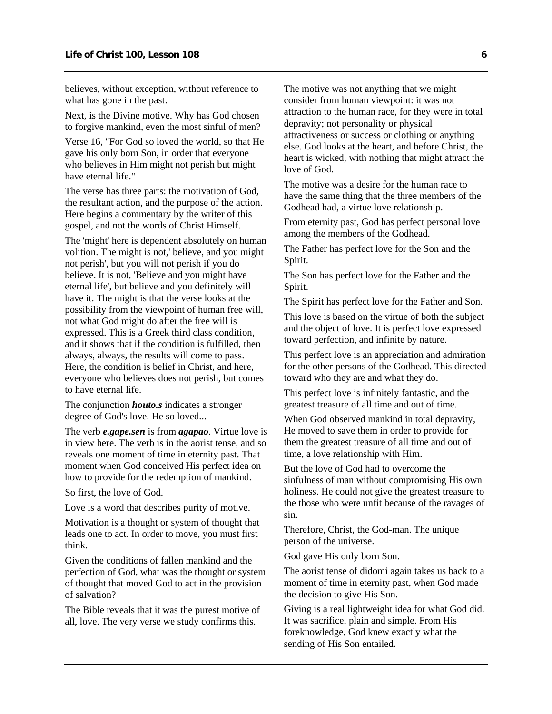believes, without exception, without reference to what has gone in the past.

Next, is the Divine motive. Why has God chosen to forgive mankind, even the most sinful of men?

Verse 16, "For God so loved the world, so that He gave his only born Son, in order that everyone who believes in Him might not perish but might have eternal life."

The verse has three parts: the motivation of God, the resultant action, and the purpose of the action. Here begins a commentary by the writer of this gospel, and not the words of Christ Himself.

The 'might' here is dependent absolutely on human volition. The might is not,' believe, and you might not perish', but you will not perish if you do believe. It is not, 'Believe and you might have eternal life', but believe and you definitely will have it. The might is that the verse looks at the possibility from the viewpoint of human free will, not what God might do after the free will is expressed. This is a Greek third class condition, and it shows that if the condition is fulfilled, then always, always, the results will come to pass. Here, the condition is belief in Christ, and here, everyone who believes does not perish, but comes to have eternal life.

The conjunction *houto.s* indicates a stronger degree of God's love. He so loved...

The verb *e.gape.sen* is from *agapao*. Virtue love is in view here. The verb is in the aorist tense, and so reveals one moment of time in eternity past. That moment when God conceived His perfect idea on how to provide for the redemption of mankind.

So first, the love of God.

Love is a word that describes purity of motive.

Motivation is a thought or system of thought that leads one to act. In order to move, you must first think.

Given the conditions of fallen mankind and the perfection of God, what was the thought or system of thought that moved God to act in the provision of salvation?

The Bible reveals that it was the purest motive of all, love. The very verse we study confirms this.

The motive was not anything that we might consider from human viewpoint: it was not attraction to the human race, for they were in total depravity; not personality or physical attractiveness or success or clothing or anything else. God looks at the heart, and before Christ, the heart is wicked, with nothing that might attract the love of God.

The motive was a desire for the human race to have the same thing that the three members of the Godhead had, a virtue love relationship.

From eternity past, God has perfect personal love among the members of the Godhead.

The Father has perfect love for the Son and the Spirit.

The Son has perfect love for the Father and the Spirit.

The Spirit has perfect love for the Father and Son.

This love is based on the virtue of both the subject and the object of love. It is perfect love expressed toward perfection, and infinite by nature.

This perfect love is an appreciation and admiration for the other persons of the Godhead. This directed toward who they are and what they do.

This perfect love is infinitely fantastic, and the greatest treasure of all time and out of time.

When God observed mankind in total depravity, He moved to save them in order to provide for them the greatest treasure of all time and out of time, a love relationship with Him.

But the love of God had to overcome the sinfulness of man without compromising His own holiness. He could not give the greatest treasure to the those who were unfit because of the ravages of sin.

Therefore, Christ, the God-man. The unique person of the universe.

God gave His only born Son.

The aorist tense of didomi again takes us back to a moment of time in eternity past, when God made the decision to give His Son.

Giving is a real lightweight idea for what God did. It was sacrifice, plain and simple. From His foreknowledge, God knew exactly what the sending of His Son entailed.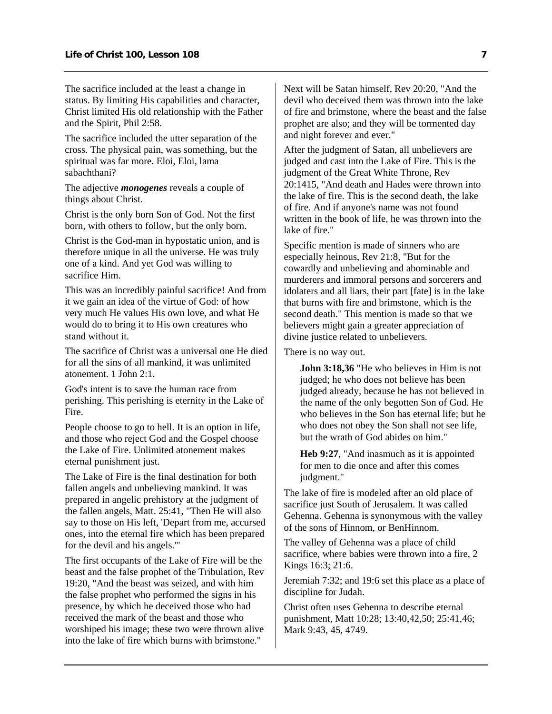The sacrifice included at the least a change in status. By limiting His capabilities and character, Christ limited His old relationship with the Father and the Spirit, Phil 2:58.

The sacrifice included the utter separation of the cross. The physical pain, was something, but the spiritual was far more. Eloi, Eloi, lama sabachthani?

The adjective *monogenes* reveals a couple of things about Christ.

Christ is the only born Son of God. Not the first born, with others to follow, but the only born.

Christ is the God-man in hypostatic union, and is therefore unique in all the universe. He was truly one of a kind. And yet God was willing to sacrifice Him.

This was an incredibly painful sacrifice! And from it we gain an idea of the virtue of God: of how very much He values His own love, and what He would do to bring it to His own creatures who stand without it.

The sacrifice of Christ was a universal one He died for all the sins of all mankind, it was unlimited atonement. 1 John 2:1.

God's intent is to save the human race from perishing. This perishing is eternity in the Lake of Fire.

People choose to go to hell. It is an option in life, and those who reject God and the Gospel choose the Lake of Fire. Unlimited atonement makes eternal punishment just.

The Lake of Fire is the final destination for both fallen angels and unbelieving mankind. It was prepared in angelic prehistory at the judgment of the fallen angels, Matt. 25:41, "Then He will also say to those on His left, 'Depart from me, accursed ones, into the eternal fire which has been prepared for the devil and his angels.'"

The first occupants of the Lake of Fire will be the beast and the false prophet of the Tribulation, Rev 19:20, "And the beast was seized, and with him the false prophet who performed the signs in his presence, by which he deceived those who had received the mark of the beast and those who worshiped his image; these two were thrown alive into the lake of fire which burns with brimstone."

Next will be Satan himself, Rev 20:20, "And the devil who deceived them was thrown into the lake of fire and brimstone, where the beast and the false prophet are also; and they will be tormented day and night forever and ever."

After the judgment of Satan, all unbelievers are judged and cast into the Lake of Fire. This is the judgment of the Great White Throne, Rev 20:1415, "And death and Hades were thrown into the lake of fire. This is the second death, the lake of fire. And if anyone's name was not found written in the book of life, he was thrown into the lake of fire."

Specific mention is made of sinners who are especially heinous, Rev 21:8, "But for the cowardly and unbelieving and abominable and murderers and immoral persons and sorcerers and idolaters and all liars, their part [fate] is in the lake that burns with fire and brimstone, which is the second death." This mention is made so that we believers might gain a greater appreciation of divine justice related to unbelievers.

There is no way out.

**John 3:18,36** "He who believes in Him is not judged; he who does not believe has been judged already, because he has not believed in the name of the only begotten Son of God. He who believes in the Son has eternal life; but he who does not obey the Son shall not see life, but the wrath of God abides on him."

**Heb 9:27**, "And inasmuch as it is appointed for men to die once and after this comes judgment."

The lake of fire is modeled after an old place of sacrifice just South of Jerusalem. It was called Gehenna. Gehenna is synonymous with the valley of the sons of Hinnom, or BenHinnom.

The valley of Gehenna was a place of child sacrifice, where babies were thrown into a fire, 2 Kings 16:3; 21:6.

Jeremiah 7:32; and 19:6 set this place as a place of discipline for Judah.

Christ often uses Gehenna to describe eternal punishment, Matt 10:28; 13:40,42,50; 25:41,46; Mark 9:43, 45, 4749.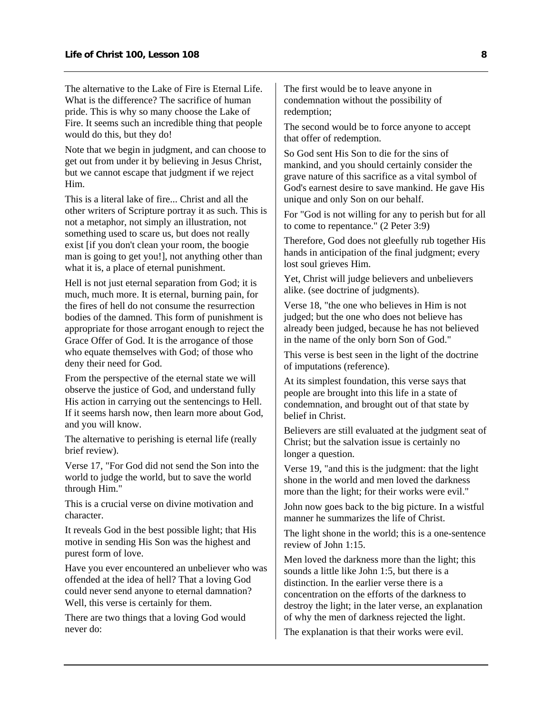The alternative to the Lake of Fire is Eternal Life. What is the difference? The sacrifice of human pride. This is why so many choose the Lake of Fire. It seems such an incredible thing that people would do this, but they do!

Note that we begin in judgment, and can choose to get out from under it by believing in Jesus Christ, but we cannot escape that judgment if we reject Him.

This is a literal lake of fire... Christ and all the other writers of Scripture portray it as such. This is not a metaphor, not simply an illustration, not something used to scare us, but does not really exist [if you don't clean your room, the boogie man is going to get you!], not anything other than what it is, a place of eternal punishment.

Hell is not just eternal separation from God; it is much, much more. It is eternal, burning pain, for the fires of hell do not consume the resurrection bodies of the damned. This form of punishment is appropriate for those arrogant enough to reject the Grace Offer of God. It is the arrogance of those who equate themselves with God; of those who deny their need for God.

From the perspective of the eternal state we will observe the justice of God, and understand fully His action in carrying out the sentencings to Hell. If it seems harsh now, then learn more about God, and you will know.

The alternative to perishing is eternal life (really brief review).

Verse 17, "For God did not send the Son into the world to judge the world, but to save the world through Him."

This is a crucial verse on divine motivation and character.

It reveals God in the best possible light; that His motive in sending His Son was the highest and purest form of love.

Have you ever encountered an unbeliever who was offended at the idea of hell? That a loving God could never send anyone to eternal damnation? Well, this verse is certainly for them.

There are two things that a loving God would never do:

The first would be to leave anyone in condemnation without the possibility of redemption;

The second would be to force anyone to accept that offer of redemption.

So God sent His Son to die for the sins of mankind, and you should certainly consider the grave nature of this sacrifice as a vital symbol of God's earnest desire to save mankind. He gave His unique and only Son on our behalf.

For "God is not willing for any to perish but for all to come to repentance." (2 Peter 3:9)

Therefore, God does not gleefully rub together His hands in anticipation of the final judgment; every lost soul grieves Him.

Yet, Christ will judge believers and unbelievers alike. (see doctrine of judgments).

Verse 18, "the one who believes in Him is not judged; but the one who does not believe has already been judged, because he has not believed in the name of the only born Son of God."

This verse is best seen in the light of the doctrine of imputations (reference).

At its simplest foundation, this verse says that people are brought into this life in a state of condemnation, and brought out of that state by belief in Christ.

Believers are still evaluated at the judgment seat of Christ; but the salvation issue is certainly no longer a question.

Verse 19, "and this is the judgment: that the light shone in the world and men loved the darkness more than the light; for their works were evil."

John now goes back to the big picture. In a wistful manner he summarizes the life of Christ.

The light shone in the world; this is a one-sentence review of John 1:15.

Men loved the darkness more than the light; this sounds a little like John 1:5, but there is a distinction. In the earlier verse there is a concentration on the efforts of the darkness to destroy the light; in the later verse, an explanation of why the men of darkness rejected the light.

The explanation is that their works were evil.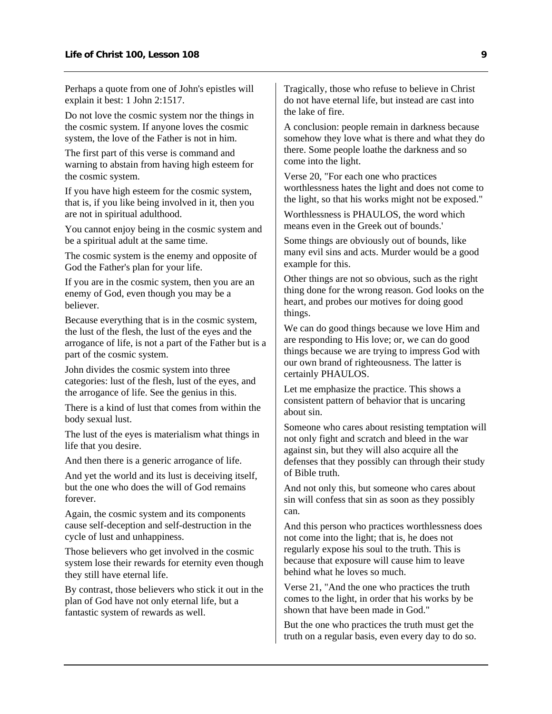Perhaps a quote from one of John's epistles will explain it best: 1 John 2:1517.

Do not love the cosmic system nor the things in the cosmic system. If anyone loves the cosmic system, the love of the Father is not in him.

The first part of this verse is command and warning to abstain from having high esteem for the cosmic system.

If you have high esteem for the cosmic system, that is, if you like being involved in it, then you are not in spiritual adulthood.

You cannot enjoy being in the cosmic system and be a spiritual adult at the same time.

The cosmic system is the enemy and opposite of God the Father's plan for your life.

If you are in the cosmic system, then you are an enemy of God, even though you may be a believer.

Because everything that is in the cosmic system, the lust of the flesh, the lust of the eyes and the arrogance of life, is not a part of the Father but is a part of the cosmic system.

John divides the cosmic system into three categories: lust of the flesh, lust of the eyes, and the arrogance of life. See the genius in this.

There is a kind of lust that comes from within the body sexual lust.

The lust of the eyes is materialism what things in life that you desire.

And then there is a generic arrogance of life.

And yet the world and its lust is deceiving itself, but the one who does the will of God remains forever.

Again, the cosmic system and its components cause self-deception and self-destruction in the cycle of lust and unhappiness.

Those believers who get involved in the cosmic system lose their rewards for eternity even though they still have eternal life.

By contrast, those believers who stick it out in the plan of God have not only eternal life, but a fantastic system of rewards as well.

Tragically, those who refuse to believe in Christ do not have eternal life, but instead are cast into the lake of fire.

A conclusion: people remain in darkness because somehow they love what is there and what they do there. Some people loathe the darkness and so come into the light.

Verse 20, "For each one who practices worthlessness hates the light and does not come to the light, so that his works might not be exposed."

Worthlessness is PHAULOS, the word which means even in the Greek out of bounds.'

Some things are obviously out of bounds, like many evil sins and acts. Murder would be a good example for this.

Other things are not so obvious, such as the right thing done for the wrong reason. God looks on the heart, and probes our motives for doing good things.

We can do good things because we love Him and are responding to His love; or, we can do good things because we are trying to impress God with our own brand of righteousness. The latter is certainly PHAULOS.

Let me emphasize the practice. This shows a consistent pattern of behavior that is uncaring about sin.

Someone who cares about resisting temptation will not only fight and scratch and bleed in the war against sin, but they will also acquire all the defenses that they possibly can through their study of Bible truth.

And not only this, but someone who cares about sin will confess that sin as soon as they possibly can.

And this person who practices worthlessness does not come into the light; that is, he does not regularly expose his soul to the truth. This is because that exposure will cause him to leave behind what he loves so much.

Verse 21, "And the one who practices the truth comes to the light, in order that his works by be shown that have been made in God."

But the one who practices the truth must get the truth on a regular basis, even every day to do so.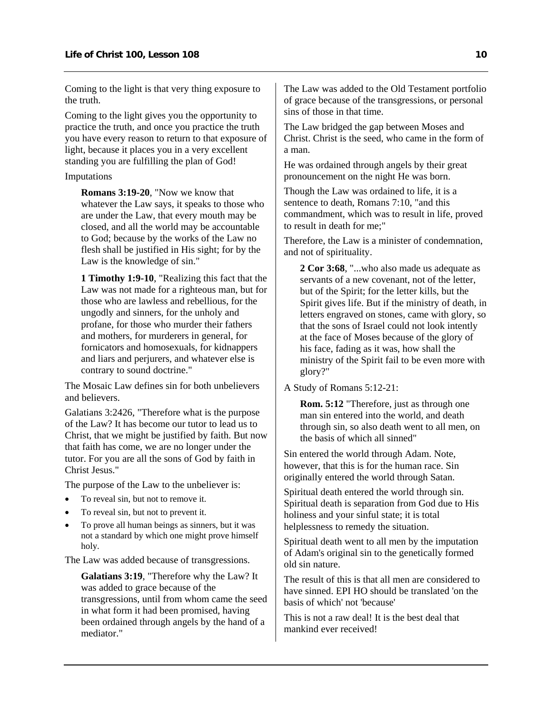Coming to the light is that very thing exposure to the truth.

Coming to the light gives you the opportunity to practice the truth, and once you practice the truth you have every reason to return to that exposure of light, because it places you in a very excellent standing you are fulfilling the plan of God!

#### Imputations

**Romans 3:19-20**, "Now we know that whatever the Law says, it speaks to those who are under the Law, that every mouth may be closed, and all the world may be accountable to God; because by the works of the Law no flesh shall be justified in His sight; for by the Law is the knowledge of sin."

**1 Timothy 1:9-10**, "Realizing this fact that the Law was not made for a righteous man, but for those who are lawless and rebellious, for the ungodly and sinners, for the unholy and profane, for those who murder their fathers and mothers, for murderers in general, for fornicators and homosexuals, for kidnappers and liars and perjurers, and whatever else is contrary to sound doctrine."

The Mosaic Law defines sin for both unbelievers and believers.

Galatians 3:2426, "Therefore what is the purpose of the Law? It has become our tutor to lead us to Christ, that we might be justified by faith. But now that faith has come, we are no longer under the tutor. For you are all the sons of God by faith in Christ Jesus."

The purpose of the Law to the unbeliever is:

- To reveal sin, but not to remove it.
- To reveal sin, but not to prevent it.
- To prove all human beings as sinners, but it was not a standard by which one might prove himself holy.

The Law was added because of transgressions.

**Galatians 3:19**, "Therefore why the Law? It was added to grace because of the transgressions, until from whom came the seed in what form it had been promised, having been ordained through angels by the hand of a mediator."

The Law was added to the Old Testament portfolio of grace because of the transgressions, or personal sins of those in that time.

The Law bridged the gap between Moses and Christ. Christ is the seed, who came in the form of a man.

He was ordained through angels by their great pronouncement on the night He was born.

Though the Law was ordained to life, it is a sentence to death, Romans 7:10, "and this commandment, which was to result in life, proved to result in death for me;"

Therefore, the Law is a minister of condemnation, and not of spirituality.

**2 Cor 3:68**, "...who also made us adequate as servants of a new covenant, not of the letter, but of the Spirit; for the letter kills, but the Spirit gives life. But if the ministry of death, in letters engraved on stones, came with glory, so that the sons of Israel could not look intently at the face of Moses because of the glory of his face, fading as it was, how shall the ministry of the Spirit fail to be even more with glory?"

A Study of Romans 5:12-21:

**Rom. 5:12** "Therefore, just as through one man sin entered into the world, and death through sin, so also death went to all men, on the basis of which all sinned"

Sin entered the world through Adam. Note, however, that this is for the human race. Sin originally entered the world through Satan.

Spiritual death entered the world through sin. Spiritual death is separation from God due to His holiness and your sinful state; it is total helplessness to remedy the situation.

Spiritual death went to all men by the imputation of Adam's original sin to the genetically formed old sin nature.

The result of this is that all men are considered to have sinned. EPI HO should be translated 'on the basis of which' not 'because'

This is not a raw deal! It is the best deal that mankind ever received!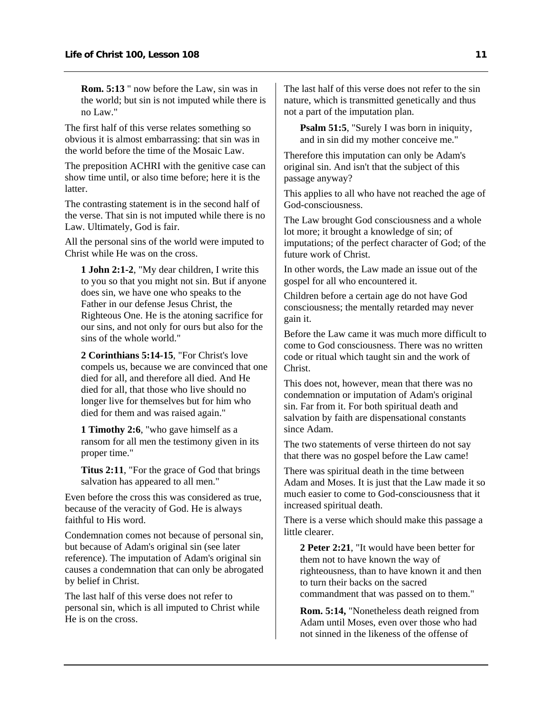**Rom. 5:13** " now before the Law, sin was in the world; but sin is not imputed while there is no Law."

The first half of this verse relates something so obvious it is almost embarrassing: that sin was in the world before the time of the Mosaic Law.

The preposition ACHRI with the genitive case can show time until, or also time before; here it is the latter.

The contrasting statement is in the second half of the verse. That sin is not imputed while there is no Law. Ultimately, God is fair.

All the personal sins of the world were imputed to Christ while He was on the cross.

**1 John 2:1-2**, "My dear children, I write this to you so that you might not sin. But if anyone does sin, we have one who speaks to the Father in our defense Jesus Christ, the Righteous One. He is the atoning sacrifice for our sins, and not only for ours but also for the sins of the whole world."

**2 Corinthians 5:14-15**, "For Christ's love compels us, because we are convinced that one died for all, and therefore all died. And He died for all, that those who live should no longer live for themselves but for him who died for them and was raised again."

**1 Timothy 2:6**, "who gave himself as a ransom for all men the testimony given in its proper time."

**Titus 2:11**, "For the grace of God that brings salvation has appeared to all men."

Even before the cross this was considered as true, because of the veracity of God. He is always faithful to His word.

Condemnation comes not because of personal sin, but because of Adam's original sin (see later reference). The imputation of Adam's original sin causes a condemnation that can only be abrogated by belief in Christ.

The last half of this verse does not refer to personal sin, which is all imputed to Christ while He is on the cross.

The last half of this verse does not refer to the sin nature, which is transmitted genetically and thus not a part of the imputation plan.

**Psalm 51:5**, "Surely I was born in iniquity, and in sin did my mother conceive me."

Therefore this imputation can only be Adam's original sin. And isn't that the subject of this passage anyway?

This applies to all who have not reached the age of God-consciousness.

The Law brought God consciousness and a whole lot more; it brought a knowledge of sin; of imputations; of the perfect character of God; of the future work of Christ.

In other words, the Law made an issue out of the gospel for all who encountered it.

Children before a certain age do not have God consciousness; the mentally retarded may never gain it.

Before the Law came it was much more difficult to come to God consciousness. There was no written code or ritual which taught sin and the work of Christ.

This does not, however, mean that there was no condemnation or imputation of Adam's original sin. Far from it. For both spiritual death and salvation by faith are dispensational constants since Adam.

The two statements of verse thirteen do not say that there was no gospel before the Law came!

There was spiritual death in the time between Adam and Moses. It is just that the Law made it so much easier to come to God-consciousness that it increased spiritual death.

There is a verse which should make this passage a little clearer.

**2 Peter 2:21**, "It would have been better for them not to have known the way of righteousness, than to have known it and then to turn their backs on the sacred commandment that was passed on to them."

**Rom. 5:14,** "Nonetheless death reigned from Adam until Moses, even over those who had not sinned in the likeness of the offense of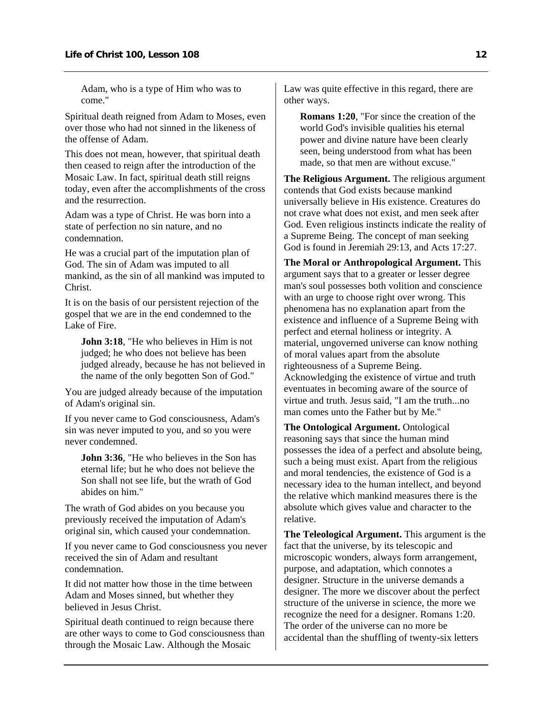Adam, who is a type of Him who was to come."

Spiritual death reigned from Adam to Moses, even over those who had not sinned in the likeness of the offense of Adam.

This does not mean, however, that spiritual death then ceased to reign after the introduction of the Mosaic Law. In fact, spiritual death still reigns today, even after the accomplishments of the cross and the resurrection.

Adam was a type of Christ. He was born into a state of perfection no sin nature, and no condemnation.

He was a crucial part of the imputation plan of God. The sin of Adam was imputed to all mankind, as the sin of all mankind was imputed to Christ.

It is on the basis of our persistent rejection of the gospel that we are in the end condemned to the Lake of Fire.

**John 3:18.** "He who believes in Him is not judged; he who does not believe has been judged already, because he has not believed in the name of the only begotten Son of God."

You are judged already because of the imputation of Adam's original sin.

If you never came to God consciousness, Adam's sin was never imputed to you, and so you were never condemned.

**John 3:36**, "He who believes in the Son has eternal life; but he who does not believe the Son shall not see life, but the wrath of God abides on him."

The wrath of God abides on you because you previously received the imputation of Adam's original sin, which caused your condemnation.

If you never came to God consciousness you never received the sin of Adam and resultant condemnation.

It did not matter how those in the time between Adam and Moses sinned, but whether they believed in Jesus Christ.

Spiritual death continued to reign because there are other ways to come to God consciousness than through the Mosaic Law. Although the Mosaic

Law was quite effective in this regard, there are other ways.

**Romans 1:20**, "For since the creation of the world God's invisible qualities his eternal power and divine nature have been clearly seen, being understood from what has been made, so that men are without excuse."

**The Religious Argument.** The religious argument contends that God exists because mankind universally believe in His existence. Creatures do not crave what does not exist, and men seek after God. Even religious instincts indicate the reality of a Supreme Being. The concept of man seeking God is found in Jeremiah 29:13, and Acts 17:27.

**The Moral or Anthropological Argument.** This argument says that to a greater or lesser degree man's soul possesses both volition and conscience with an urge to choose right over wrong. This phenomena has no explanation apart from the existence and influence of a Supreme Being with perfect and eternal holiness or integrity. A material, ungoverned universe can know nothing of moral values apart from the absolute righteousness of a Supreme Being. Acknowledging the existence of virtue and truth eventuates in becoming aware of the source of virtue and truth. Jesus said, "I am the truth...no man comes unto the Father but by Me."

**The Ontological Argument.** Ontological reasoning says that since the human mind possesses the idea of a perfect and absolute being, such a being must exist. Apart from the religious and moral tendencies, the existence of God is a necessary idea to the human intellect, and beyond the relative which mankind measures there is the absolute which gives value and character to the relative.

**The Teleological Argument.** This argument is the fact that the universe, by its telescopic and microscopic wonders, always form arrangement, purpose, and adaptation, which connotes a designer. Structure in the universe demands a designer. The more we discover about the perfect structure of the universe in science, the more we recognize the need for a designer. Romans 1:20. The order of the universe can no more be accidental than the shuffling of twenty-six letters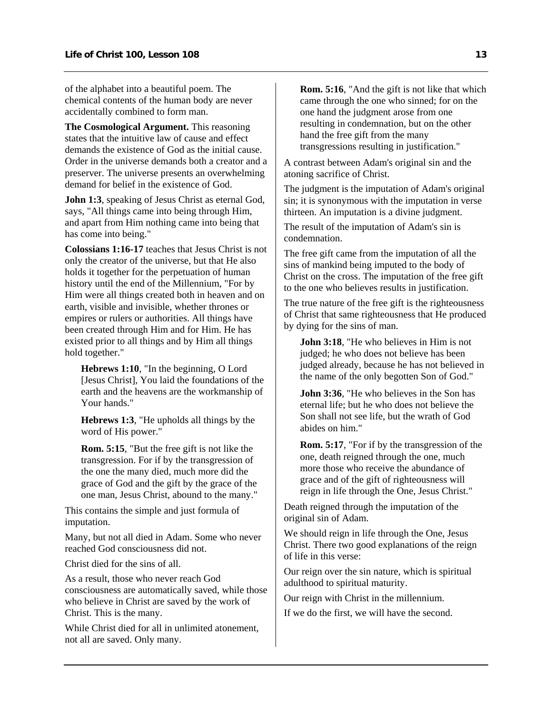of the alphabet into a beautiful poem. The chemical contents of the human body are never accidentally combined to form man.

**The Cosmological Argument.** This reasoning states that the intuitive law of cause and effect demands the existence of God as the initial cause. Order in the universe demands both a creator and a preserver. The universe presents an overwhelming demand for belief in the existence of God.

**John 1:3.** speaking of Jesus Christ as eternal God. says, "All things came into being through Him, and apart from Him nothing came into being that has come into being."

**Colossians 1:16-17** teaches that Jesus Christ is not only the creator of the universe, but that He also holds it together for the perpetuation of human history until the end of the Millennium, "For by Him were all things created both in heaven and on earth, visible and invisible, whether thrones or empires or rulers or authorities. All things have been created through Him and for Him. He has existed prior to all things and by Him all things hold together."

**Hebrews 1:10**, "In the beginning, O Lord [Jesus Christ], You laid the foundations of the earth and the heavens are the workmanship of Your hands."

**Hebrews 1:3**, "He upholds all things by the word of His power."

**Rom. 5:15**, "But the free gift is not like the transgression. For if by the transgression of the one the many died, much more did the grace of God and the gift by the grace of the one man, Jesus Christ, abound to the many."

This contains the simple and just formula of imputation.

Many, but not all died in Adam. Some who never reached God consciousness did not.

Christ died for the sins of all.

As a result, those who never reach God consciousness are automatically saved, while those who believe in Christ are saved by the work of Christ. This is the many.

While Christ died for all in unlimited atonement, not all are saved. Only many.

**Rom. 5:16**, "And the gift is not like that which came through the one who sinned; for on the one hand the judgment arose from one resulting in condemnation, but on the other hand the free gift from the many transgressions resulting in justification."

A contrast between Adam's original sin and the atoning sacrifice of Christ.

The judgment is the imputation of Adam's original sin; it is synonymous with the imputation in verse thirteen. An imputation is a divine judgment.

The result of the imputation of Adam's sin is condemnation.

The free gift came from the imputation of all the sins of mankind being imputed to the body of Christ on the cross. The imputation of the free gift to the one who believes results in justification.

The true nature of the free gift is the righteousness of Christ that same righteousness that He produced by dying for the sins of man.

**John 3:18**, "He who believes in Him is not judged; he who does not believe has been judged already, because he has not believed in the name of the only begotten Son of God."

**John 3:36.** "He who believes in the Son has eternal life; but he who does not believe the Son shall not see life, but the wrath of God abides on him."

**Rom. 5:17**, "For if by the transgression of the one, death reigned through the one, much more those who receive the abundance of grace and of the gift of righteousness will reign in life through the One, Jesus Christ."

Death reigned through the imputation of the original sin of Adam.

We should reign in life through the One, Jesus Christ. There two good explanations of the reign of life in this verse:

Our reign over the sin nature, which is spiritual adulthood to spiritual maturity.

Our reign with Christ in the millennium.

If we do the first, we will have the second.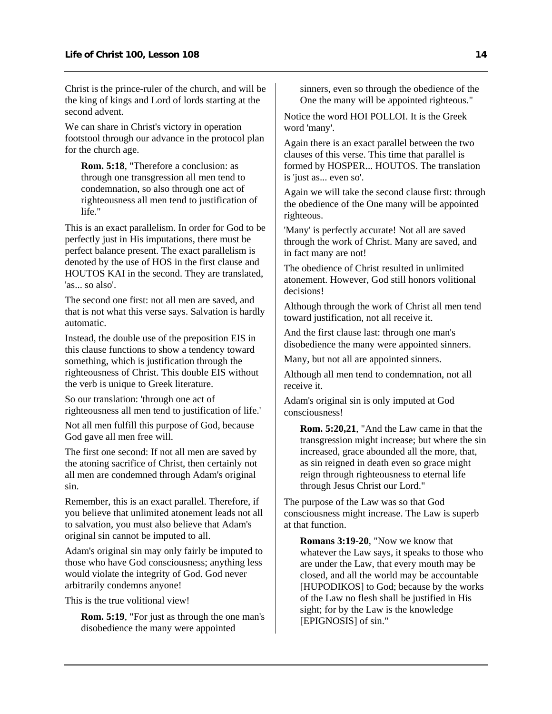Christ is the prince-ruler of the church, and will be the king of kings and Lord of lords starting at the second advent.

We can share in Christ's victory in operation footstool through our advance in the protocol plan for the church age.

**Rom. 5:18**, "Therefore a conclusion: as through one transgression all men tend to condemnation, so also through one act of righteousness all men tend to justification of life."

This is an exact parallelism. In order for God to be perfectly just in His imputations, there must be perfect balance present. The exact parallelism is denoted by the use of HOS in the first clause and HOUTOS KAI in the second. They are translated, 'as... so also'.

The second one first: not all men are saved, and that is not what this verse says. Salvation is hardly automatic.

Instead, the double use of the preposition EIS in this clause functions to show a tendency toward something, which is justification through the righteousness of Christ. This double EIS without the verb is unique to Greek literature.

So our translation: 'through one act of righteousness all men tend to justification of life.'

Not all men fulfill this purpose of God, because God gave all men free will.

The first one second: If not all men are saved by the atoning sacrifice of Christ, then certainly not all men are condemned through Adam's original sin.

Remember, this is an exact parallel. Therefore, if you believe that unlimited atonement leads not all to salvation, you must also believe that Adam's original sin cannot be imputed to all.

Adam's original sin may only fairly be imputed to those who have God consciousness; anything less would violate the integrity of God. God never arbitrarily condemns anyone!

This is the true volitional view!

**Rom. 5:19**, "For just as through the one man's disobedience the many were appointed

sinners, even so through the obedience of the One the many will be appointed righteous."

Notice the word HOI POLLOI. It is the Greek word 'many'.

Again there is an exact parallel between the two clauses of this verse. This time that parallel is formed by HOSPER... HOUTOS. The translation is 'just as... even so'.

Again we will take the second clause first: through the obedience of the One many will be appointed righteous.

'Many' is perfectly accurate! Not all are saved through the work of Christ. Many are saved, and in fact many are not!

The obedience of Christ resulted in unlimited atonement. However, God still honors volitional decisions!

Although through the work of Christ all men tend toward justification, not all receive it.

And the first clause last: through one man's disobedience the many were appointed sinners.

Many, but not all are appointed sinners.

Although all men tend to condemnation, not all receive it.

Adam's original sin is only imputed at God consciousness!

**Rom. 5:20,21**, "And the Law came in that the transgression might increase; but where the sin increased, grace abounded all the more, that, as sin reigned in death even so grace might reign through righteousness to eternal life through Jesus Christ our Lord."

The purpose of the Law was so that God consciousness might increase. The Law is superb at that function.

**Romans 3:19-20**, "Now we know that whatever the Law says, it speaks to those who are under the Law, that every mouth may be closed, and all the world may be accountable [HUPODIKOS] to God; because by the works of the Law no flesh shall be justified in His sight; for by the Law is the knowledge [EPIGNOSIS] of sin."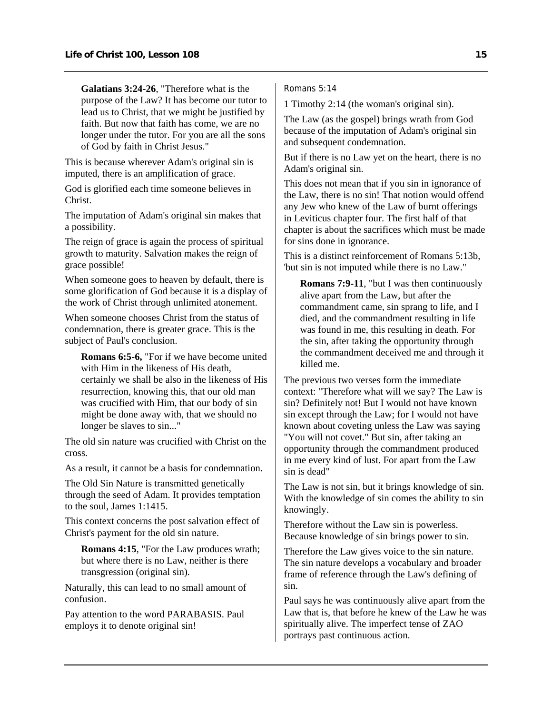**Galatians 3:24-26**, "Therefore what is the purpose of the Law? It has become our tutor to lead us to Christ, that we might be justified by faith. But now that faith has come, we are no longer under the tutor. For you are all the sons of God by faith in Christ Jesus."

This is because wherever Adam's original sin is imputed, there is an amplification of grace.

God is glorified each time someone believes in Christ.

The imputation of Adam's original sin makes that a possibility.

The reign of grace is again the process of spiritual growth to maturity. Salvation makes the reign of grace possible!

When someone goes to heaven by default, there is some glorification of God because it is a display of the work of Christ through unlimited atonement.

When someone chooses Christ from the status of condemnation, there is greater grace. This is the subject of Paul's conclusion.

**Romans 6:5-6,** "For if we have become united with Him in the likeness of His death, certainly we shall be also in the likeness of His resurrection, knowing this, that our old man was crucified with Him, that our body of sin might be done away with, that we should no longer be slaves to sin..."

The old sin nature was crucified with Christ on the cross.

As a result, it cannot be a basis for condemnation.

The Old Sin Nature is transmitted genetically through the seed of Adam. It provides temptation to the soul, James 1:1415.

This context concerns the post salvation effect of Christ's payment for the old sin nature.

**Romans 4:15**, "For the Law produces wrath; but where there is no Law, neither is there transgression (original sin).

Naturally, this can lead to no small amount of confusion.

Pay attention to the word PARABASIS. Paul employs it to denote original sin!

Romans 5:14

1 Timothy 2:14 (the woman's original sin).

The Law (as the gospel) brings wrath from God because of the imputation of Adam's original sin and subsequent condemnation.

But if there is no Law yet on the heart, there is no Adam's original sin.

This does not mean that if you sin in ignorance of the Law, there is no sin! That notion would offend any Jew who knew of the Law of burnt offerings in Leviticus chapter four. The first half of that chapter is about the sacrifices which must be made for sins done in ignorance.

This is a distinct reinforcement of Romans 5:13b, 'but sin is not imputed while there is no Law."

**Romans 7:9-11**, "but I was then continuously alive apart from the Law, but after the commandment came, sin sprang to life, and I died, and the commandment resulting in life was found in me, this resulting in death. For the sin, after taking the opportunity through the commandment deceived me and through it killed me.

The previous two verses form the immediate context: "Therefore what will we say? The Law is sin? Definitely not! But I would not have known sin except through the Law; for I would not have known about coveting unless the Law was saying "You will not covet." But sin, after taking an opportunity through the commandment produced in me every kind of lust. For apart from the Law sin is dead"

The Law is not sin, but it brings knowledge of sin. With the knowledge of sin comes the ability to sin knowingly.

Therefore without the Law sin is powerless. Because knowledge of sin brings power to sin.

Therefore the Law gives voice to the sin nature. The sin nature develops a vocabulary and broader frame of reference through the Law's defining of sin.

Paul says he was continuously alive apart from the Law that is, that before he knew of the Law he was spiritually alive. The imperfect tense of ZAO portrays past continuous action.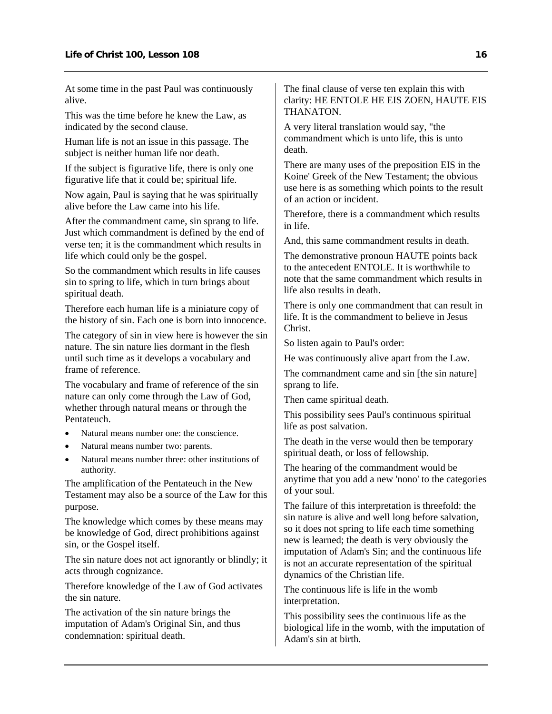At some time in the past Paul was continuously alive.

This was the time before he knew the Law, as indicated by the second clause.

Human life is not an issue in this passage. The subject is neither human life nor death.

If the subject is figurative life, there is only one figurative life that it could be; spiritual life.

Now again, Paul is saying that he was spiritually alive before the Law came into his life.

After the commandment came, sin sprang to life. Just which commandment is defined by the end of verse ten; it is the commandment which results in life which could only be the gospel.

So the commandment which results in life causes sin to spring to life, which in turn brings about spiritual death.

Therefore each human life is a miniature copy of the history of sin. Each one is born into innocence.

The category of sin in view here is however the sin nature. The sin nature lies dormant in the flesh until such time as it develops a vocabulary and frame of reference.

The vocabulary and frame of reference of the sin nature can only come through the Law of God, whether through natural means or through the Pentateuch.

- Natural means number one: the conscience.
- Natural means number two: parents.
- Natural means number three: other institutions of authority.

The amplification of the Pentateuch in the New Testament may also be a source of the Law for this purpose.

The knowledge which comes by these means may be knowledge of God, direct prohibitions against sin, or the Gospel itself.

The sin nature does not act ignorantly or blindly; it acts through cognizance.

Therefore knowledge of the Law of God activates the sin nature.

The activation of the sin nature brings the imputation of Adam's Original Sin, and thus condemnation: spiritual death.

The final clause of verse ten explain this with clarity: HE ENTOLE HE EIS ZOEN, HAUTE EIS THANATON.

A very literal translation would say, "the commandment which is unto life, this is unto death.

There are many uses of the preposition EIS in the Koine' Greek of the New Testament; the obvious use here is as something which points to the result of an action or incident.

Therefore, there is a commandment which results in life.

And, this same commandment results in death.

The demonstrative pronoun HAUTE points back to the antecedent ENTOLE. It is worthwhile to note that the same commandment which results in life also results in death.

There is only one commandment that can result in life. It is the commandment to believe in Jesus Christ.

So listen again to Paul's order:

He was continuously alive apart from the Law.

The commandment came and sin [the sin nature] sprang to life.

Then came spiritual death.

This possibility sees Paul's continuous spiritual life as post salvation.

The death in the verse would then be temporary spiritual death, or loss of fellowship.

The hearing of the commandment would be anytime that you add a new 'nono' to the categories of your soul.

The failure of this interpretation is threefold: the sin nature is alive and well long before salvation, so it does not spring to life each time something new is learned; the death is very obviously the imputation of Adam's Sin; and the continuous life is not an accurate representation of the spiritual dynamics of the Christian life.

The continuous life is life in the womb interpretation.

This possibility sees the continuous life as the biological life in the womb, with the imputation of Adam's sin at birth.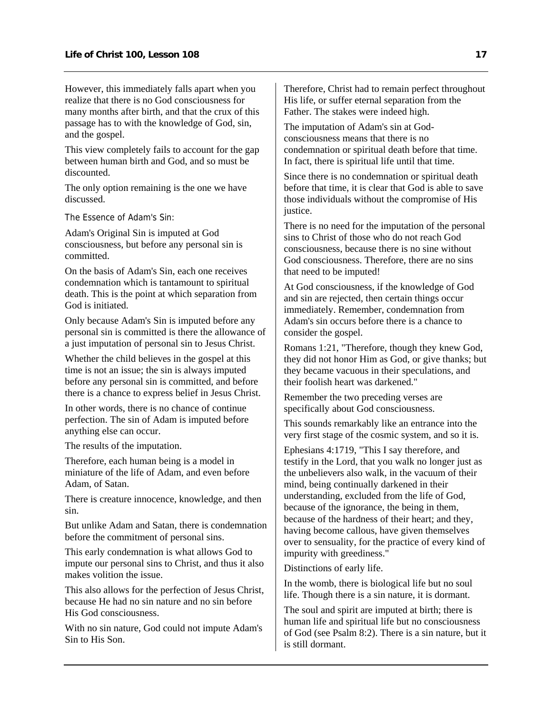However, this immediately falls apart when you realize that there is no God consciousness for many months after birth, and that the crux of this passage has to with the knowledge of God, sin, and the gospel.

This view completely fails to account for the gap between human birth and God, and so must be discounted.

The only option remaining is the one we have discussed.

The Essence of Adam's Sin:

Adam's Original Sin is imputed at God consciousness, but before any personal sin is committed.

On the basis of Adam's Sin, each one receives condemnation which is tantamount to spiritual death. This is the point at which separation from God is initiated.

Only because Adam's Sin is imputed before any personal sin is committed is there the allowance of a just imputation of personal sin to Jesus Christ.

Whether the child believes in the gospel at this time is not an issue; the sin is always imputed before any personal sin is committed, and before there is a chance to express belief in Jesus Christ.

In other words, there is no chance of continue perfection. The sin of Adam is imputed before anything else can occur.

The results of the imputation.

Therefore, each human being is a model in miniature of the life of Adam, and even before Adam, of Satan.

There is creature innocence, knowledge, and then sin.

But unlike Adam and Satan, there is condemnation before the commitment of personal sins.

This early condemnation is what allows God to impute our personal sins to Christ, and thus it also makes volition the issue.

This also allows for the perfection of Jesus Christ, because He had no sin nature and no sin before His God consciousness.

With no sin nature, God could not impute Adam's Sin to His Son.

Therefore, Christ had to remain perfect throughout His life, or suffer eternal separation from the Father. The stakes were indeed high.

The imputation of Adam's sin at Godconsciousness means that there is no condemnation or spiritual death before that time. In fact, there is spiritual life until that time.

Since there is no condemnation or spiritual death before that time, it is clear that God is able to save those individuals without the compromise of His justice.

There is no need for the imputation of the personal sins to Christ of those who do not reach God consciousness, because there is no sine without God consciousness. Therefore, there are no sins that need to be imputed!

At God consciousness, if the knowledge of God and sin are rejected, then certain things occur immediately. Remember, condemnation from Adam's sin occurs before there is a chance to consider the gospel.

Romans 1:21, "Therefore, though they knew God, they did not honor Him as God, or give thanks; but they became vacuous in their speculations, and their foolish heart was darkened."

Remember the two preceding verses are specifically about God consciousness.

This sounds remarkably like an entrance into the very first stage of the cosmic system, and so it is.

Ephesians 4:1719, "This I say therefore, and testify in the Lord, that you walk no longer just as the unbelievers also walk, in the vacuum of their mind, being continually darkened in their understanding, excluded from the life of God, because of the ignorance, the being in them, because of the hardness of their heart; and they, having become callous, have given themselves over to sensuality, for the practice of every kind of impurity with greediness."

Distinctions of early life.

In the womb, there is biological life but no soul life. Though there is a sin nature, it is dormant.

The soul and spirit are imputed at birth; there is human life and spiritual life but no consciousness of God (see Psalm 8:2). There is a sin nature, but it is still dormant.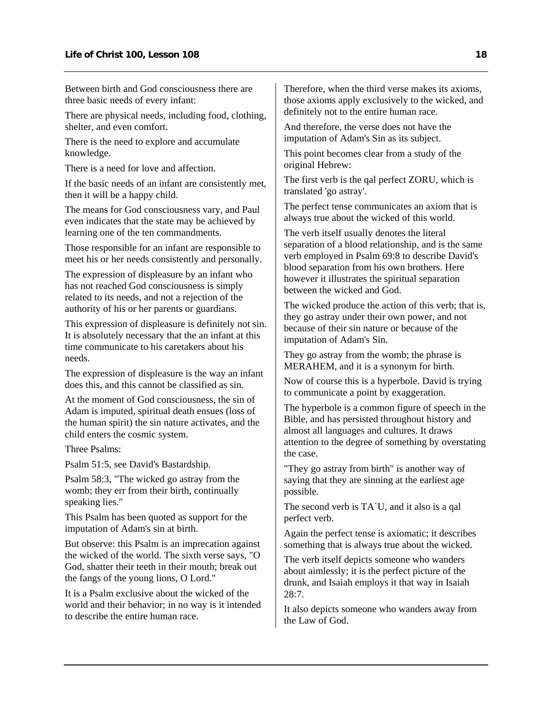Between birth and God consciousness there are three basic needs of every infant:

There are physical needs, including food, clothing, shelter, and even comfort.

There is the need to explore and accumulate knowledge.

There is a need for love and affection.

If the basic needs of an infant are consistently met, then it will be a happy child.

The means for God consciousness vary, and Paul even indicates that the state may be achieved by learning one of the ten commandments.

Those responsible for an infant are responsible to meet his or her needs consistently and personally.

The expression of displeasure by an infant who has not reached God consciousness is simply related to its needs, and not a rejection of the authority of his or her parents or guardians.

This expression of displeasure is definitely not sin. It is absolutely necessary that the an infant at this time communicate to his caretakers about his needs.

The expression of displeasure is the way an infant does this, and this cannot be classified as sin.

At the moment of God consciousness, the sin of Adam is imputed, spiritual death ensues (loss of the human spirit) the sin nature activates, and the child enters the cosmic system.

Three Psalms:

Psalm 51:5, see David's Bastardship.

Psalm 58:3, "The wicked go astray from the womb; they err from their birth, continually speaking lies."

This Psalm has been quoted as support for the imputation of Adam's sin at birth.

But observe: this Psalm is an imprecation against the wicked of the world. The sixth verse says, "O God, shatter their teeth in their mouth; break out the fangs of the young lions, O Lord."

It is a Psalm exclusive about the wicked of the world and their behavior; in no way is it intended to describe the entire human race.

Therefore, when the third verse makes its axioms, those axioms apply exclusively to the wicked, and definitely not to the entire human race.

And therefore, the verse does not have the imputation of Adam's Sin as its subject.

This point becomes clear from a study of the original Hebrew:

The first verb is the qal perfect ZORU, which is translated 'go astray'.

The perfect tense communicates an axiom that is always true about the wicked of this world.

The verb itself usually denotes the literal separation of a blood relationship, and is the same verb employed in Psalm 69:8 to describe David's blood separation from his own brothers. Here however it illustrates the spiritual separation between the wicked and God.

The wicked produce the action of this verb; that is, they go astray under their own power, and not because of their sin nature or because of the imputation of Adam's Sin.

They go astray from the womb; the phrase is MERAHEM, and it is a synonym for birth.

Now of course this is a hyperbole. David is trying to communicate a point by exaggeration.

The hyperbole is a common figure of speech in the Bible, and has persisted throughout history and almost all languages and cultures. It draws attention to the degree of something by overstating the case.

"They go astray from birth" is another way of saying that they are sinning at the earliest age possible.

The second verb is TA`U, and it also is a qal perfect verb.

Again the perfect tense is axiomatic; it describes something that is always true about the wicked.

The verb itself depicts someone who wanders about aimlessly; it is the perfect picture of the drunk, and Isaiah employs it that way in Isaiah 28:7.

It also depicts someone who wanders away from the Law of God.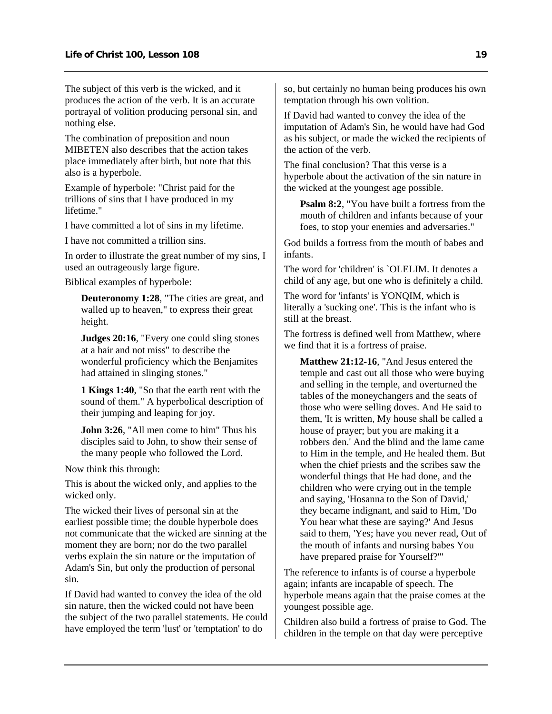The subject of this verb is the wicked, and it produces the action of the verb. It is an accurate portrayal of volition producing personal sin, and nothing else.

The combination of preposition and noun MIBETEN also describes that the action takes place immediately after birth, but note that this also is a hyperbole.

Example of hyperbole: "Christ paid for the trillions of sins that I have produced in my lifetime."

I have committed a lot of sins in my lifetime.

I have not committed a trillion sins.

In order to illustrate the great number of my sins, I used an outrageously large figure.

Biblical examples of hyperbole:

**Deuteronomy 1:28**, "The cities are great, and walled up to heaven," to express their great height.

**Judges 20:16**, "Every one could sling stones at a hair and not miss" to describe the wonderful proficiency which the Benjamites had attained in slinging stones."

**1 Kings 1:40**, "So that the earth rent with the sound of them." A hyperbolical description of their jumping and leaping for joy.

**John 3:26**, "All men come to him" Thus his disciples said to John, to show their sense of the many people who followed the Lord.

Now think this through:

This is about the wicked only, and applies to the wicked only.

The wicked their lives of personal sin at the earliest possible time; the double hyperbole does not communicate that the wicked are sinning at the moment they are born; nor do the two parallel verbs explain the sin nature or the imputation of Adam's Sin, but only the production of personal sin.

If David had wanted to convey the idea of the old sin nature, then the wicked could not have been the subject of the two parallel statements. He could have employed the term 'lust' or 'temptation' to do

so, but certainly no human being produces his own temptation through his own volition.

If David had wanted to convey the idea of the imputation of Adam's Sin, he would have had God as his subject, or made the wicked the recipients of the action of the verb.

The final conclusion? That this verse is a hyperbole about the activation of the sin nature in the wicked at the youngest age possible.

**Psalm 8:2**, "You have built a fortress from the mouth of children and infants because of your foes, to stop your enemies and adversaries."

God builds a fortress from the mouth of babes and infants.

The word for 'children' is `OLELIM. It denotes a child of any age, but one who is definitely a child.

The word for 'infants' is YONQIM, which is literally a 'sucking one'. This is the infant who is still at the breast.

The fortress is defined well from Matthew, where we find that it is a fortress of praise.

**Matthew 21:12-16**, "And Jesus entered the temple and cast out all those who were buying and selling in the temple, and overturned the tables of the moneychangers and the seats of those who were selling doves. And He said to them, 'It is written, My house shall be called a house of prayer; but you are making it a robbers den.' And the blind and the lame came to Him in the temple, and He healed them. But when the chief priests and the scribes saw the wonderful things that He had done, and the children who were crying out in the temple and saying, 'Hosanna to the Son of David,' they became indignant, and said to Him, 'Do You hear what these are saying?' And Jesus said to them, 'Yes; have you never read, Out of the mouth of infants and nursing babes You have prepared praise for Yourself?'"

The reference to infants is of course a hyperbole again; infants are incapable of speech. The hyperbole means again that the praise comes at the youngest possible age.

Children also build a fortress of praise to God. The children in the temple on that day were perceptive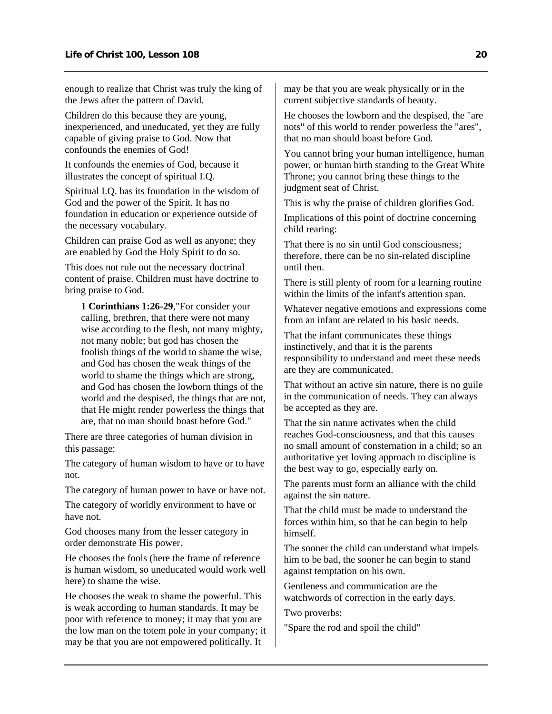enough to realize that Christ was truly the king of the Jews after the pattern of David.

Children do this because they are young, inexperienced, and uneducated, yet they are fully capable of giving praise to God. Now that confounds the enemies of God!

It confounds the enemies of God, because it illustrates the concept of spiritual I.Q.

Spiritual I.Q. has its foundation in the wisdom of God and the power of the Spirit. It has no foundation in education or experience outside of the necessary vocabulary.

Children can praise God as well as anyone; they are enabled by God the Holy Spirit to do so.

This does not rule out the necessary doctrinal content of praise. Children must have doctrine to bring praise to God.

**1 Corinthians 1:26-29**,"For consider your calling, brethren, that there were not many wise according to the flesh, not many mighty, not many noble; but god has chosen the foolish things of the world to shame the wise, and God has chosen the weak things of the world to shame the things which are strong, and God has chosen the lowborn things of the world and the despised, the things that are not, that He might render powerless the things that are, that no man should boast before God."

There are three categories of human division in this passage:

The category of human wisdom to have or to have not.

The category of human power to have or have not.

The category of worldly environment to have or have not.

God chooses many from the lesser category in order demonstrate His power.

He chooses the fools (here the frame of reference is human wisdom, so uneducated would work well here) to shame the wise.

He chooses the weak to shame the powerful. This is weak according to human standards. It may be poor with reference to money; it may that you are the low man on the totem pole in your company; it may be that you are not empowered politically. It

may be that you are weak physically or in the current subjective standards of beauty.

He chooses the lowborn and the despised, the "are nots" of this world to render powerless the "ares", that no man should boast before God.

You cannot bring your human intelligence, human power, or human birth standing to the Great White Throne; you cannot bring these things to the judgment seat of Christ.

This is why the praise of children glorifies God.

Implications of this point of doctrine concerning child rearing:

That there is no sin until God consciousness; therefore, there can be no sin-related discipline until then.

There is still plenty of room for a learning routine within the limits of the infant's attention span.

Whatever negative emotions and expressions come from an infant are related to his basic needs.

That the infant communicates these things instinctively, and that it is the parents responsibility to understand and meet these needs are they are communicated.

That without an active sin nature, there is no guile in the communication of needs. They can always be accepted as they are.

That the sin nature activates when the child reaches God-consciousness, and that this causes no small amount of consternation in a child; so an authoritative yet loving approach to discipline is the best way to go, especially early on.

The parents must form an alliance with the child against the sin nature.

That the child must be made to understand the forces within him, so that he can begin to help himself.

The sooner the child can understand what impels him to be bad, the sooner he can begin to stand against temptation on his own.

Gentleness and communication are the watchwords of correction in the early days.

Two proverbs:

"Spare the rod and spoil the child"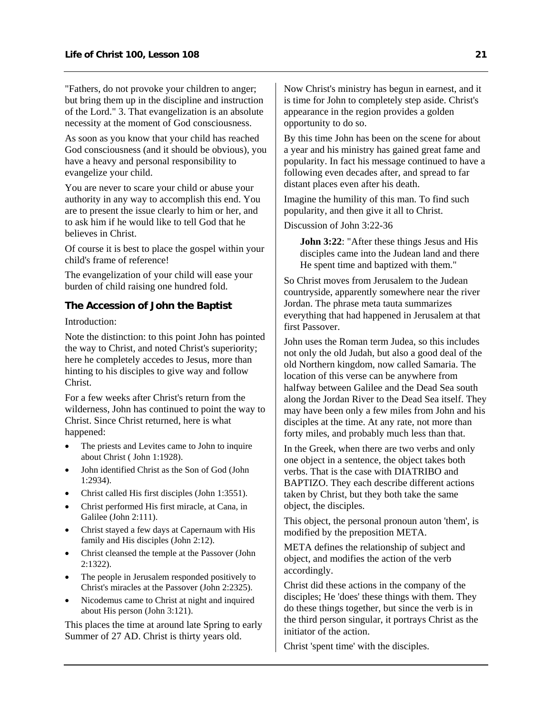<span id="page-22-0"></span>"Fathers, do not provoke your children to anger; but bring them up in the discipline and instruction of the Lord." 3. That evangelization is an absolute necessity at the moment of God consciousness.

As soon as you know that your child has reached God consciousness (and it should be obvious), you have a heavy and personal responsibility to evangelize your child.

You are never to scare your child or abuse your authority in any way to accomplish this end. You are to present the issue clearly to him or her, and to ask him if he would like to tell God that he believes in Christ.

Of course it is best to place the gospel within your child's frame of reference!

The evangelization of your child will ease your burden of child raising one hundred fold.

### **The Accession of John the Baptist**

Introduction:

Note the distinction: to this point John has pointed the way to Christ, and noted Christ's superiority; here he completely accedes to Jesus, more than hinting to his disciples to give way and follow Christ.

For a few weeks after Christ's return from the wilderness, John has continued to point the way to Christ. Since Christ returned, here is what happened:

- The priests and Levites came to John to inquire about Christ ( John 1:1928).
- John identified Christ as the Son of God (John 1:2934).
- Christ called His first disciples (John 1:3551).
- Christ performed His first miracle, at Cana, in Galilee (John 2:111).
- Christ stayed a few days at Capernaum with His family and His disciples (John 2:12).
- Christ cleansed the temple at the Passover (John 2:1322).
- The people in Jerusalem responded positively to Christ's miracles at the Passover (John 2:2325).
- Nicodemus came to Christ at night and inquired about His person (John 3:121).

This places the time at around late Spring to early Summer of 27 AD. Christ is thirty years old.

Now Christ's ministry has begun in earnest, and it is time for John to completely step aside. Christ's appearance in the region provides a golden opportunity to do so.

By this time John has been on the scene for about a year and his ministry has gained great fame and popularity. In fact his message continued to have a following even decades after, and spread to far distant places even after his death.

Imagine the humility of this man. To find such popularity, and then give it all to Christ.

Discussion of John 3:22-36

**John 3:22**: "After these things Jesus and His disciples came into the Judean land and there He spent time and baptized with them."

So Christ moves from Jerusalem to the Judean countryside, apparently somewhere near the river Jordan. The phrase meta tauta summarizes everything that had happened in Jerusalem at that first Passover.

John uses the Roman term Judea, so this includes not only the old Judah, but also a good deal of the old Northern kingdom, now called Samaria. The location of this verse can be anywhere from halfway between Galilee and the Dead Sea south along the Jordan River to the Dead Sea itself. They may have been only a few miles from John and his disciples at the time. At any rate, not more than forty miles, and probably much less than that.

In the Greek, when there are two verbs and only one object in a sentence, the object takes both verbs. That is the case with DIATRIBO and BAPTIZO. They each describe different actions taken by Christ, but they both take the same object, the disciples.

This object, the personal pronoun auton 'them', is modified by the preposition META.

META defines the relationship of subject and object, and modifies the action of the verb accordingly.

Christ did these actions in the company of the disciples; He 'does' these things with them. They do these things together, but since the verb is in the third person singular, it portrays Christ as the initiator of the action.

Christ 'spent time' with the disciples.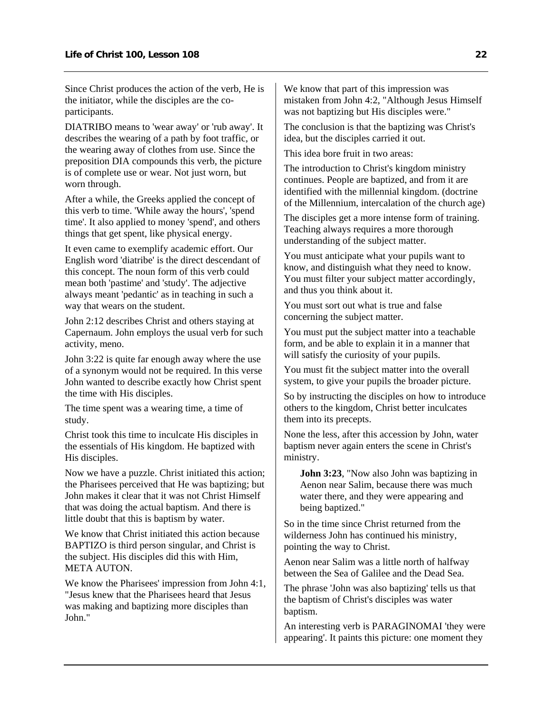Since Christ produces the action of the verb, He is the initiator, while the disciples are the coparticipants.

DIATRIBO means to 'wear away' or 'rub away'. It describes the wearing of a path by foot traffic, or the wearing away of clothes from use. Since the preposition DIA compounds this verb, the picture is of complete use or wear. Not just worn, but worn through.

After a while, the Greeks applied the concept of this verb to time. 'While away the hours', 'spend time'. It also applied to money 'spend', and others things that get spent, like physical energy.

It even came to exemplify academic effort. Our English word 'diatribe' is the direct descendant of this concept. The noun form of this verb could mean both 'pastime' and 'study'. The adjective always meant 'pedantic' as in teaching in such a way that wears on the student.

John 2:12 describes Christ and others staying at Capernaum. John employs the usual verb for such activity, meno.

John 3:22 is quite far enough away where the use of a synonym would not be required. In this verse John wanted to describe exactly how Christ spent the time with His disciples.

The time spent was a wearing time, a time of study.

Christ took this time to inculcate His disciples in the essentials of His kingdom. He baptized with His disciples.

Now we have a puzzle. Christ initiated this action; the Pharisees perceived that He was baptizing; but John makes it clear that it was not Christ Himself that was doing the actual baptism. And there is little doubt that this is baptism by water.

We know that Christ initiated this action because BAPTIZO is third person singular, and Christ is the subject. His disciples did this with Him, META AUTON.

We know the Pharisees' impression from John 4:1, "Jesus knew that the Pharisees heard that Jesus was making and baptizing more disciples than John."

We know that part of this impression was mistaken from John 4:2, "Although Jesus Himself was not baptizing but His disciples were."

The conclusion is that the baptizing was Christ's idea, but the disciples carried it out.

This idea bore fruit in two areas:

The introduction to Christ's kingdom ministry continues. People are baptized, and from it are identified with the millennial kingdom. (doctrine of the Millennium, intercalation of the church age)

The disciples get a more intense form of training. Teaching always requires a more thorough understanding of the subject matter.

You must anticipate what your pupils want to know, and distinguish what they need to know. You must filter your subject matter accordingly, and thus you think about it.

You must sort out what is true and false concerning the subject matter.

You must put the subject matter into a teachable form, and be able to explain it in a manner that will satisfy the curiosity of your pupils.

You must fit the subject matter into the overall system, to give your pupils the broader picture.

So by instructing the disciples on how to introduce others to the kingdom, Christ better inculcates them into its precepts.

None the less, after this accession by John, water baptism never again enters the scene in Christ's ministry.

**John 3:23**, "Now also John was baptizing in Aenon near Salim, because there was much water there, and they were appearing and being baptized."

So in the time since Christ returned from the wilderness John has continued his ministry, pointing the way to Christ.

Aenon near Salim was a little north of halfway between the Sea of Galilee and the Dead Sea.

The phrase 'John was also baptizing' tells us that the baptism of Christ's disciples was water baptism.

An interesting verb is PARAGINOMAI 'they were appearing'. It paints this picture: one moment they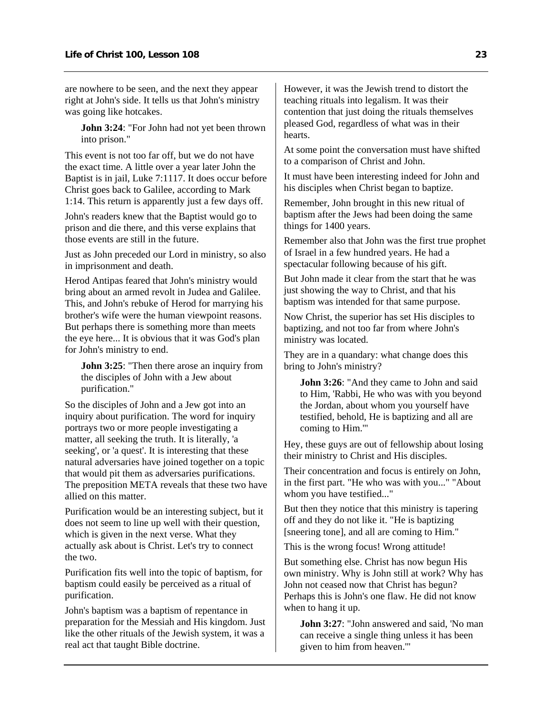are nowhere to be seen, and the next they appear right at John's side. It tells us that John's ministry was going like hotcakes.

**John 3:24**: "For John had not yet been thrown into prison."

This event is not too far off, but we do not have the exact time. A little over a year later John the Baptist is in jail, Luke 7:1117. It does occur before Christ goes back to Galilee, according to Mark 1:14. This return is apparently just a few days off.

John's readers knew that the Baptist would go to prison and die there, and this verse explains that those events are still in the future.

Just as John preceded our Lord in ministry, so also in imprisonment and death.

Herod Antipas feared that John's ministry would bring about an armed revolt in Judea and Galilee. This, and John's rebuke of Herod for marrying his brother's wife were the human viewpoint reasons. But perhaps there is something more than meets the eye here... It is obvious that it was God's plan for John's ministry to end.

**John 3:25**: "Then there arose an inquiry from the disciples of John with a Jew about purification."

So the disciples of John and a Jew got into an inquiry about purification. The word for inquiry portrays two or more people investigating a matter, all seeking the truth. It is literally, 'a seeking', or 'a quest'. It is interesting that these natural adversaries have joined together on a topic that would pit them as adversaries purifications. The preposition META reveals that these two have allied on this matter.

Purification would be an interesting subject, but it does not seem to line up well with their question, which is given in the next verse. What they actually ask about is Christ. Let's try to connect the two.

Purification fits well into the topic of baptism, for baptism could easily be perceived as a ritual of purification.

John's baptism was a baptism of repentance in preparation for the Messiah and His kingdom. Just like the other rituals of the Jewish system, it was a real act that taught Bible doctrine.

However, it was the Jewish trend to distort the teaching rituals into legalism. It was their contention that just doing the rituals themselves pleased God, regardless of what was in their hearts.

At some point the conversation must have shifted to a comparison of Christ and John.

It must have been interesting indeed for John and his disciples when Christ began to baptize.

Remember, John brought in this new ritual of baptism after the Jews had been doing the same things for 1400 years.

Remember also that John was the first true prophet of Israel in a few hundred years. He had a spectacular following because of his gift.

But John made it clear from the start that he was just showing the way to Christ, and that his baptism was intended for that same purpose.

Now Christ, the superior has set His disciples to baptizing, and not too far from where John's ministry was located.

They are in a quandary: what change does this bring to John's ministry?

**John 3:26**: "And they came to John and said to Him, 'Rabbi, He who was with you beyond the Jordan, about whom you yourself have testified, behold, He is baptizing and all are coming to Him.'"

Hey, these guys are out of fellowship about losing their ministry to Christ and His disciples.

Their concentration and focus is entirely on John, in the first part. "He who was with you..." "About whom you have testified..."

But then they notice that this ministry is tapering off and they do not like it. "He is baptizing [sneering tone], and all are coming to Him."

This is the wrong focus! Wrong attitude!

But something else. Christ has now begun His own ministry. Why is John still at work? Why has John not ceased now that Christ has begun? Perhaps this is John's one flaw. He did not know when to hang it up.

**John 3:27**: "John answered and said, 'No man can receive a single thing unless it has been given to him from heaven.'"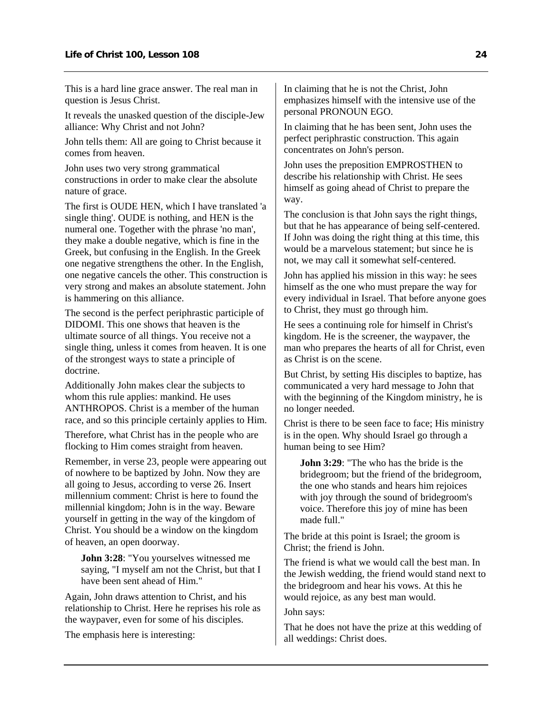This is a hard line grace answer. The real man in question is Jesus Christ.

It reveals the unasked question of the disciple-Jew alliance: Why Christ and not John?

John tells them: All are going to Christ because it comes from heaven.

John uses two very strong grammatical constructions in order to make clear the absolute nature of grace.

The first is OUDE HEN, which I have translated 'a single thing'. OUDE is nothing, and HEN is the numeral one. Together with the phrase 'no man', they make a double negative, which is fine in the Greek, but confusing in the English. In the Greek one negative strengthens the other. In the English, one negative cancels the other. This construction is very strong and makes an absolute statement. John is hammering on this alliance.

The second is the perfect periphrastic participle of DIDOMI. This one shows that heaven is the ultimate source of all things. You receive not a single thing, unless it comes from heaven. It is one of the strongest ways to state a principle of doctrine.

Additionally John makes clear the subjects to whom this rule applies: mankind. He uses ANTHROPOS. Christ is a member of the human race, and so this principle certainly applies to Him.

Therefore, what Christ has in the people who are flocking to Him comes straight from heaven.

Remember, in verse 23, people were appearing out of nowhere to be baptized by John. Now they are all going to Jesus, according to verse 26. Insert millennium comment: Christ is here to found the millennial kingdom; John is in the way. Beware yourself in getting in the way of the kingdom of Christ. You should be a window on the kingdom of heaven, an open doorway.

**John 3:28**: "You yourselves witnessed me saying, "I myself am not the Christ, but that I have been sent ahead of Him."

Again, John draws attention to Christ, and his relationship to Christ. Here he reprises his role as the waypaver, even for some of his disciples.

The emphasis here is interesting:

In claiming that he is not the Christ, John emphasizes himself with the intensive use of the personal PRONOUN EGO.

In claiming that he has been sent, John uses the perfect periphrastic construction. This again concentrates on John's person.

John uses the preposition EMPROSTHEN to describe his relationship with Christ. He sees himself as going ahead of Christ to prepare the way.

The conclusion is that John says the right things, but that he has appearance of being self-centered. If John was doing the right thing at this time, this would be a marvelous statement; but since he is not, we may call it somewhat self-centered.

John has applied his mission in this way: he sees himself as the one who must prepare the way for every individual in Israel. That before anyone goes to Christ, they must go through him.

He sees a continuing role for himself in Christ's kingdom. He is the screener, the waypaver, the man who prepares the hearts of all for Christ, even as Christ is on the scene.

But Christ, by setting His disciples to baptize, has communicated a very hard message to John that with the beginning of the Kingdom ministry, he is no longer needed.

Christ is there to be seen face to face; His ministry is in the open. Why should Israel go through a human being to see Him?

**John 3:29:** "The who has the bride is the bridegroom; but the friend of the bridegroom, the one who stands and hears him rejoices with joy through the sound of bridegroom's voice. Therefore this joy of mine has been made full."

The bride at this point is Israel; the groom is Christ; the friend is John.

The friend is what we would call the best man. In the Jewish wedding, the friend would stand next to the bridegroom and hear his vows. At this he would rejoice, as any best man would.

#### John says:

That he does not have the prize at this wedding of all weddings: Christ does.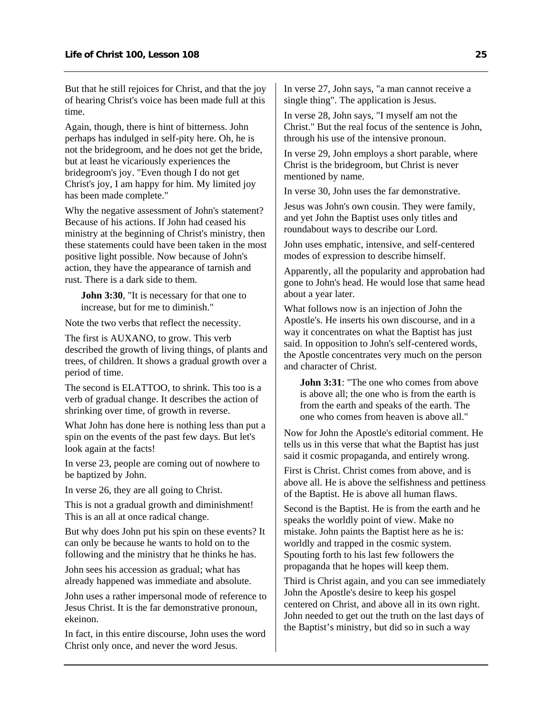But that he still rejoices for Christ, and that the joy of hearing Christ's voice has been made full at this time.

Again, though, there is hint of bitterness. John perhaps has indulged in self-pity here. Oh, he is not the bridegroom, and he does not get the bride, but at least he vicariously experiences the bridegroom's joy. "Even though I do not get Christ's joy, I am happy for him. My limited joy has been made complete."

Why the negative assessment of John's statement? Because of his actions. If John had ceased his ministry at the beginning of Christ's ministry, then these statements could have been taken in the most positive light possible. Now because of John's action, they have the appearance of tarnish and rust. There is a dark side to them.

**John 3:30**, "It is necessary for that one to increase, but for me to diminish."

Note the two verbs that reflect the necessity.

The first is AUXANO, to grow. This verb described the growth of living things, of plants and trees, of children. It shows a gradual growth over a period of time.

The second is ELATTOO, to shrink. This too is a verb of gradual change. It describes the action of shrinking over time, of growth in reverse.

What John has done here is nothing less than put a spin on the events of the past few days. But let's look again at the facts!

In verse 23, people are coming out of nowhere to be baptized by John.

In verse 26, they are all going to Christ.

This is not a gradual growth and diminishment! This is an all at once radical change.

But why does John put his spin on these events? It can only be because he wants to hold on to the following and the ministry that he thinks he has.

John sees his accession as gradual; what has already happened was immediate and absolute.

John uses a rather impersonal mode of reference to Jesus Christ. It is the far demonstrative pronoun, ekeinon.

In fact, in this entire discourse, John uses the word Christ only once, and never the word Jesus.

In verse 27, John says, "a man cannot receive a single thing". The application is Jesus.

In verse 28, John says, "I myself am not the Christ." But the real focus of the sentence is John, through his use of the intensive pronoun.

In verse 29, John employs a short parable, where Christ is the bridegroom, but Christ is never mentioned by name.

In verse 30, John uses the far demonstrative.

Jesus was John's own cousin. They were family, and yet John the Baptist uses only titles and roundabout ways to describe our Lord.

John uses emphatic, intensive, and self-centered modes of expression to describe himself.

Apparently, all the popularity and approbation had gone to John's head. He would lose that same head about a year later.

What follows now is an injection of John the Apostle's. He inserts his own discourse, and in a way it concentrates on what the Baptist has just said. In opposition to John's self-centered words, the Apostle concentrates very much on the person and character of Christ.

**John 3:31:** "The one who comes from above is above all; the one who is from the earth is from the earth and speaks of the earth. The one who comes from heaven is above all."

Now for John the Apostle's editorial comment. He tells us in this verse that what the Baptist has just said it cosmic propaganda, and entirely wrong.

First is Christ. Christ comes from above, and is above all. He is above the selfishness and pettiness of the Baptist. He is above all human flaws.

Second is the Baptist. He is from the earth and he speaks the worldly point of view. Make no mistake. John paints the Baptist here as he is: worldly and trapped in the cosmic system. Spouting forth to his last few followers the propaganda that he hopes will keep them.

Third is Christ again, and you can see immediately John the Apostle's desire to keep his gospel centered on Christ, and above all in its own right. John needed to get out the truth on the last days of the Baptist's ministry, but did so in such a way